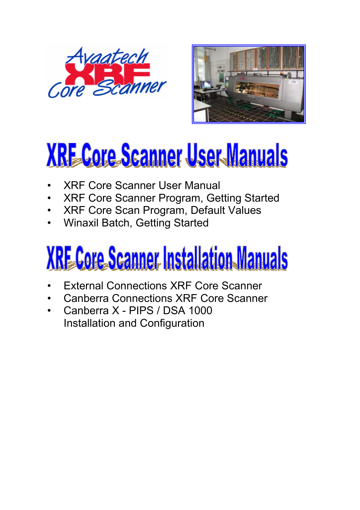



# **XRE Core Scanner User Manuals**

- XRF Core Scanner User Manual
- XRF Core Scanner Program, Getting Started
- XRF Core Scan Program, Default Values
- Winaxil Batch, Getting Started

# **XRE Core Scanner Installation Manuals**

- External Connections XRF Core Scanner
- Canberra Connections XRF Core Scanner
- Canberra X PIPS / DSA 1000 Installation and Configuration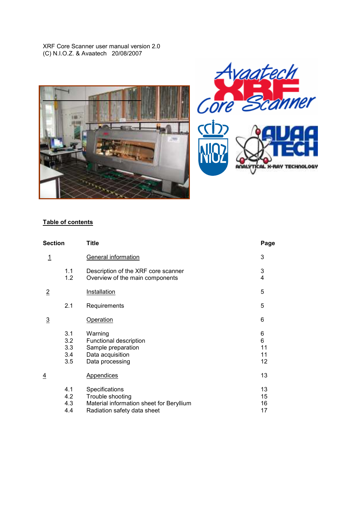XRF Core Scanner user manual version 2.0 (C) N.I.O.Z. & Avaatech 20/08/2007





# Table of contents

| Section        |                                 | <b>Title</b>                                                                                                  |                          |
|----------------|---------------------------------|---------------------------------------------------------------------------------------------------------------|--------------------------|
| $\overline{1}$ |                                 | General information                                                                                           | 3                        |
|                | 1.1<br>1.2                      | Description of the XRF core scanner<br>Overview of the main components                                        | 3<br>4                   |
| $\overline{2}$ |                                 | Installation                                                                                                  | 5                        |
|                | 2.1                             | Requirements                                                                                                  | 5                        |
| $\overline{3}$ |                                 | <b>Operation</b>                                                                                              | 6                        |
|                | 3.1<br>3.2<br>3.3<br>3.4<br>3.5 | Warning<br>Functional description<br>Sample preparation<br>Data acquisition<br>Data processing                | 6<br>6<br>11<br>11<br>12 |
|                |                                 | <b>Appendices</b>                                                                                             | 13                       |
|                | 4.1<br>4.2<br>4.3<br>4.4        | Specifications<br>Trouble shooting<br>Material information sheet for Beryllium<br>Radiation safety data sheet | 13<br>15<br>16<br>17     |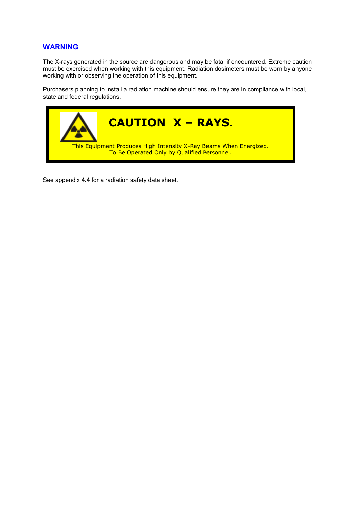# WARNING

The X-rays generated in the source are dangerous and may be fatal if encountered. Extreme caution must be exercised when working with this equipment. Radiation dosimeters must be worn by anyone working with or observing the operation of this equipment.

Purchasers planning to install a radiation machine should ensure they are in compliance with local, state and federal regulations.



See appendix 4.4 for a radiation safety data sheet.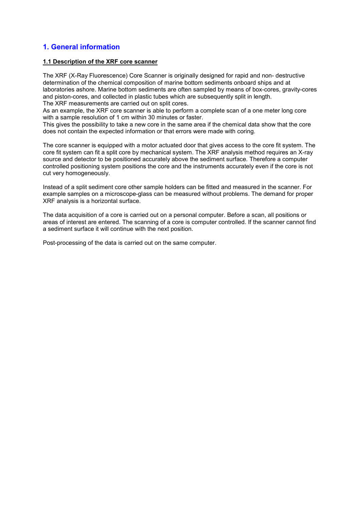# 1. General information

#### 1.1 Description of the XRF core scanner

The XRF (X-Ray Fluorescence) Core Scanner is originally designed for rapid and non- destructive determination of the chemical composition of marine bottom sediments onboard ships and at laboratories ashore. Marine bottom sediments are often sampled by means of box-cores, gravity-cores and piston-cores, and collected in plastic tubes which are subsequently split in length. The XRF measurements are carried out on split cores.

As an example, the XRF core scanner is able to perform a complete scan of a one meter long core with a sample resolution of 1 cm within 30 minutes or faster.

This gives the possibility to take a new core in the same area if the chemical data show that the core does not contain the expected information or that errors were made with coring.

The core scanner is equipped with a motor actuated door that gives access to the core fit system. The core fit system can fit a split core by mechanical system. The XRF analysis method requires an X-ray source and detector to be positioned accurately above the sediment surface. Therefore a computer controlled positioning system positions the core and the instruments accurately even if the core is not cut very homogeneously.

Instead of a split sediment core other sample holders can be fitted and measured in the scanner. For example samples on a microscope-glass can be measured without problems. The demand for proper XRF analysis is a horizontal surface.

The data acquisition of a core is carried out on a personal computer. Before a scan, all positions or areas of interest are entered. The scanning of a core is computer controlled. If the scanner cannot find a sediment surface it will continue with the next position.

Post-processing of the data is carried out on the same computer.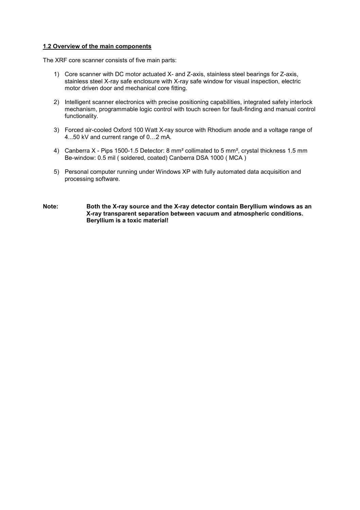### 1.2 Overview of the main components

The XRF core scanner consists of five main parts:

- 1) Core scanner with DC motor actuated X- and Z-axis, stainless steel bearings for Z-axis, stainless steel X-ray safe enclosure with X-ray safe window for visual inspection, electric motor driven door and mechanical core fitting.
- 2) Intelligent scanner electronics with precise positioning capabilities, integrated safety interlock mechanism, programmable logic control with touch screen for fault-finding and manual control functionality.
- 3) Forced air-cooled Oxford 100 Watt X-ray source with Rhodium anode and a voltage range of 4...50 kV and current range of 0…2 mA.
- 4) Canberra X Pips 1500-1.5 Detector: 8 mm<sup>2</sup> collimated to 5 mm<sup>2</sup>, crystal thickness 1.5 mm Be-window: 0.5 mil ( soldered, coated) Canberra DSA 1000 ( MCA )
- 5) Personal computer running under Windows XP with fully automated data acquisition and processing software.
- Note: Both the X-ray source and the X-ray detector contain Beryllium windows as an X-ray transparent separation between vacuum and atmospheric conditions. Beryllium is a toxic material!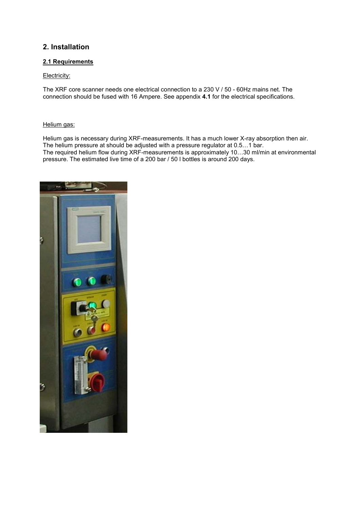# 2. Installation

### 2.1 Requirements

### Electricity:

The XRF core scanner needs one electrical connection to a 230 V / 50 - 60Hz mains net. The connection should be fused with 16 Ampere. See appendix 4.1 for the electrical specifications.

### Helium gas:

Helium gas is necessary during XRF-measurements. It has a much lower X-ray absorption then air. The helium pressure at should be adjusted with a pressure regulator at 0.5…1 bar. The required helium flow during XRF-measurements is approximately 10…30 ml/min at environmental pressure. The estimated live time of a 200 bar / 50 l bottles is around 200 days.

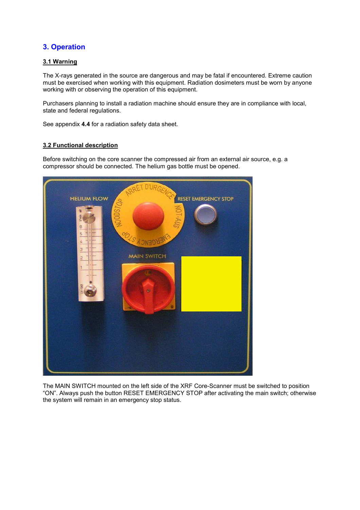# 3. Operation

### 3.1 Warning

The X-rays generated in the source are dangerous and may be fatal if encountered. Extreme caution must be exercised when working with this equipment. Radiation dosimeters must be worn by anyone working with or observing the operation of this equipment.

Purchasers planning to install a radiation machine should ensure they are in compliance with local, state and federal regulations.

See appendix 4.4 for a radiation safety data sheet.

### 3.2 Functional description

Before switching on the core scanner the compressed air from an external air source, e.g. a compressor should be connected. The helium gas bottle must be opened.



The MAIN SWITCH mounted on the left side of the XRF Core-Scanner must be switched to position "ON". Always push the button RESET EMERGENCY STOP after activating the main switch; otherwise the system will remain in an emergency stop status.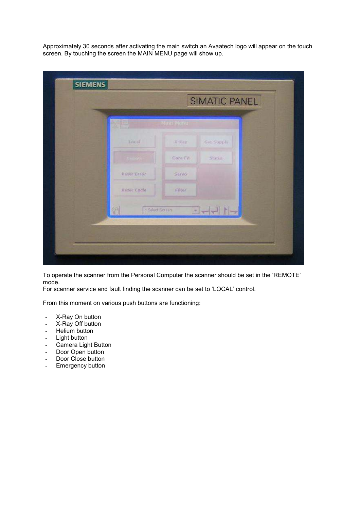Approximately 30 seconds after activating the main switch an Avaatech logo will appear on the touch screen. By touching the screen the MAIN MENU page will show up.

| MAIL MUTU<br>Local<br>Gas Supply<br>X-Ray |
|-------------------------------------------|
|                                           |
|                                           |
| Core Fit<br>Status.                       |
| REIBLEFOR<br><b>Servo</b>                 |
| Reset Cycle<br>Filter                     |

To operate the scanner from the Personal Computer the scanner should be set in the 'REMOTE' mode.

For scanner service and fault finding the scanner can be set to 'LOCAL' control.

From this moment on various push buttons are functioning:

- X-Ray On button
- X-Ray Off button
- Helium button
- Light button
- Camera Light Button
- Door Open button
- Door Close button
- Emergency button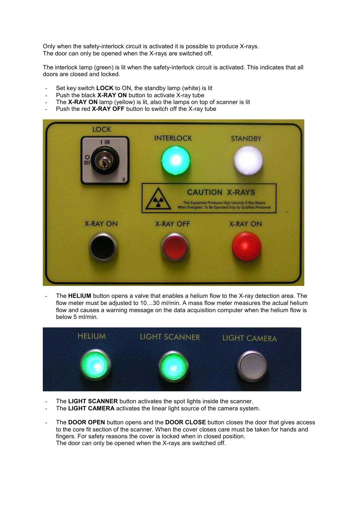Only when the safety-interlock circuit is activated it is possible to produce X-rays. The door can only be opened when the X-rays are switched off.

The interlock lamp (green) is lit when the safety-interlock circuit is activated. This indicates that all doors are closed and locked.

- Set key switch **LOCK** to ON, the standby lamp (white) is lit
- Push the black **X-RAY ON** button to activate X-ray tube
- The X-RAY ON lamp (yellow) is lit, also the lamps on top of scanner is lit
- Push the red X-RAY OFF button to switch off the X-ray tube



The HELIUM button opens a valve that enables a helium flow to the X-ray detection area. The flow meter must be adjusted to 10…30 ml/min. A mass flow meter measures the actual helium flow and causes a warning message on the data acquisition computer when the helium flow is below 5 ml/min.



- The LIGHT SCANNER button activates the spot lights inside the scanner.
- The LIGHT CAMERA activates the linear light source of the camera system.
- The DOOR OPEN button opens and the DOOR CLOSE button closes the door that gives access to the core fit section of the scanner. When the cover closes care must be taken for hands and fingers. For safety reasons the cover is locked when in closed position. The door can only be opened when the X-rays are switched off.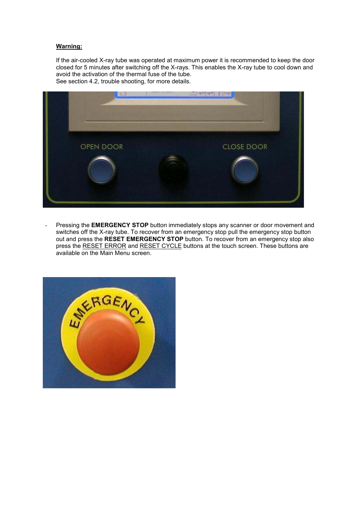### Warning:

If the air-cooled X-ray tube was operated at maximum power it is recommended to keep the door closed for 5 minutes after switching off the X-rays. This enables the X-ray tube to cool down and avoid the activation of the thermal fuse of the tube. See section 4.2, trouble shooting, for more details.



- Pressing the **EMERGENCY STOP** button immediately stops any scanner or door movement and switches off the X-ray tube. To recover from an emergency stop pull the emergency stop button out and press the RESET EMERGENCY STOP button. To recover from an emergency stop also press the RESET ERROR and RESET CYCLE buttons at the touch screen. These buttons are available on the Main Menu screen.

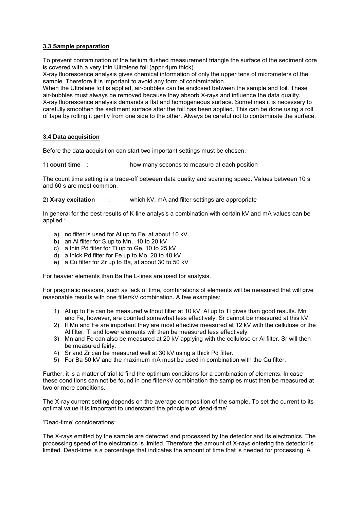### 3.3 Sample preparation

To prevent contamination of the helium flushed measurement triangle the surface of the sediment core is covered with a very thin Ultralene foil (appr.4µm thick).

X-ray fluorescence analysis gives chemical information of only the upper tens of micrometers of the sample. Therefore it is important to avoid any form of contamination.

When the Ultralene foil is applied, air-bubbles can be enclosed between the sample and foil. These air-bubbles must always be removed because they absorb X-rays and influence the data quality. X-ray fluorescence analysis demands a flat and homogeneous surface. Sometimes it is necessary to carefully smoothen the sediment surface after the foil has been applied. This can be done using a roll of tape by rolling it gently from one side to the other. Always be careful not to contaminate the surface.

### 3.4 Data acquisition

Before the data acquisition can start two important settings must be chosen.

1) count time : how many seconds to measure at each position

The count time setting is a trade-off between data quality and scanning speed. Values between 10 s and 60 s are most common.

2) X-ray excitation : which kV, mA and filter settings are appropriate

In general for the best results of K-line analysis a combination with certain kV and mA values can be applied :

- a) no filter is used for Al up to Fe, at about 10 kV
- b) an Al filter for S up to Mn, 10 to 20 kV
- c) a thin Pd filter for Ti up to Ge, 10 to 25 kV
- d) a thick Pd filter for Fe up to Mo, 20 to 40 kV
- e) a Cu filter for Zr up to Ba, at about 30 to 50 kV

For heavier elements than Ba the L-lines are used for analysis.

For pragmatic reasons, such as lack of time, combinations of elements will be measured that will give reasonable results with one filter/kV combination. A few examples:

- 1) Al up to Fe can be measured without filter at 10 kV. Al up to Ti gives than good results. Mn and Fe, however, are counted somewhat less effectively. Sr cannot be measured at this kV.
- 2) If Mn and Fe are important they are most effective measured at 12 kV with the cellulose or the Al filter. Ti and lower elements will then be measured less effectively.
- 3) Mn and Fe can also be measured at 20 kV applying with the cellulose or Al filter. Sr will then be measured fairly.
- 4) Sr and Zr can be measured well at 30 kV using a thick Pd filter.
- 5) For Ba 50 kV and the maximum mA must be used in combination with the Cu filter.

Further, it is a matter of trial to find the optimum conditions for a combination of elements. In case these conditions can not be found in one filter/kV combination the samples must then be measured at two or more conditions.

The X-ray current setting depends on the average composition of the sample. To set the current to its optimal value it is important to understand the principle of 'dead-time'.

'Dead-time' considerations:

The X-rays emitted by the sample are detected and processed by the detector and its electronics. The processing speed of the electronics is limited. Therefore the amount of X-rays entering the detector is limited. Dead-time is a percentage that indicates the amount of time that is needed for processing. A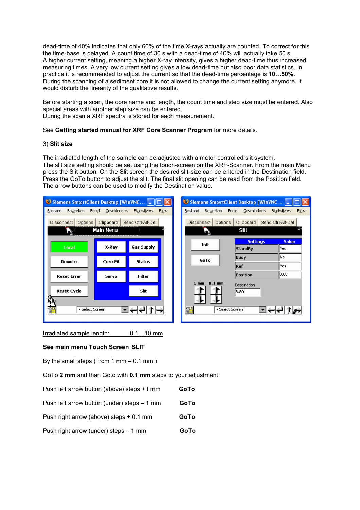dead-time of 40% indicates that only 60% of the time X-rays actually are counted. To correct for this the time-base is delayed. A count time of 30 s with a dead-time of 40% will actually take 50 s. A higher current setting, meaning a higher X-ray intensity, gives a higher dead-time thus increased measuring times. A very low current setting gives a low dead-time but also poor data statistics. In practice it is recommended to adjust the current so that the dead-time percentage is 10…50%. During the scanning of a sediment core it is not allowed to change the current setting anymore. It would disturb the linearity of the qualitative results.

Before starting a scan, the core name and length, the count time and step size must be entered. Also special areas with another step size can be entered. During the scan a XRF spectra is stored for each measurement.

See Getting started manual for XRF Core Scanner Program for more details.

### 3) Slit size

The irradiated length of the sample can be adjusted with a motor-controlled slit system. The slit size setting should be set using the touch-screen on the XRF-Scanner. From the main Menu press the Slit button. On the Slit screen the desired slit-size can be entered in the Destination field. Press the GoTo button to adjust the slit. The final slit opening can be read from the Position field. The arrow buttons can be used to modify the Destination value.

| Siemens Sm@rtClient Desktop [WinVNC  _<br>Siemens Sm@rtClient Desktop [WinVNC  _                                                                           |           |                   |  |                              |                 |       |
|------------------------------------------------------------------------------------------------------------------------------------------------------------|-----------|-------------------|--|------------------------------|-----------------|-------|
| Bewerken<br>Beeld<br>Geschiedenis<br><b>Bladwijzers</b><br>Bewerken<br>Beeld<br>Geschiedenis<br><b>Bladwijzers</b><br>Bestand<br>Extra<br>Bestand<br>Extra |           |                   |  |                              |                 |       |
| Clipboard<br>Send Ctrl-Alt-Del<br>Disconnect  <br>Clipboard<br>Send Ctrl-Alt-Del<br>Options<br>Options<br><b>Disconnect</b>                                |           |                   |  |                              | 134             |       |
|                                                                                                                                                            | Main Menu |                   |  | <b>Slit</b>                  |                 |       |
|                                                                                                                                                            |           |                   |  | Init                         | <b>Settings</b> | Value |
| Local                                                                                                                                                      | X-Ray     | <b>Gas Supply</b> |  |                              | <b>StandBy</b>  | lYes  |
| Remote                                                                                                                                                     | Core Fit  | Status            |  | GoTo                         | <b>Busy</b>     | No    |
|                                                                                                                                                            |           |                   |  |                              | Ref             | lYes. |
| <b>Reset Error</b>                                                                                                                                         | Servo     | <b>Filter</b>     |  |                              | Position        | 18.80 |
|                                                                                                                                                            |           |                   |  | $0.1$ mm<br>$1 \, \text{mm}$ | Destination     |       |
| Reset Cycle                                                                                                                                                |           | Slit              |  |                              | 18.80           |       |
| 鉓                                                                                                                                                          |           |                   |  |                              |                 |       |
| °E<br>- Select Screen                                                                                                                                      |           |                   |  | $\mathbb{Z}^n$               | - Select Screen |       |
|                                                                                                                                                            |           |                   |  |                              |                 |       |

Irradiated sample length: 0.1…10 mm

### See main menu Touch Screen SLIT

By the small steps ( from  $1 \text{ mm} - 0.1 \text{ mm}$  )

GoTo 2 mm and than Goto with 0.1 mm steps to your adjustment

| Push left arrow button (above) steps + I mm | GoTo |
|---------------------------------------------|------|
| Push left arrow button (under) steps – 1 mm | GoTo |
| Push right arrow (above) steps + 0.1 mm     | GoTo |
| Push right arrow (under) steps - 1 mm       | GoTo |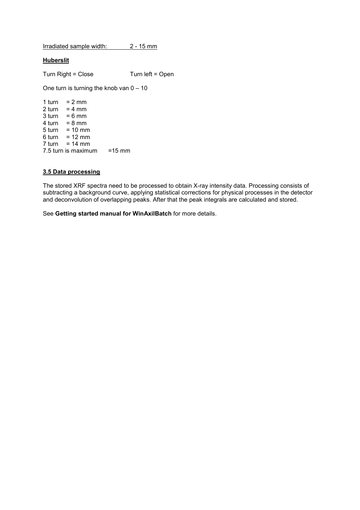Irradiated sample width: 2 - 15 mm

### Huberslit

Turn Right = Close Turn left = Open

One turn is turning the knob van  $0 - 10$ 

1 turn =  $2 \text{ mm}$  $2$  turn = 4 mm  $3 \text{ turn} = 6 \text{ mm}$ 4 turn = 8 mm 5 turn = 10 mm 6 turn = 12 mm  $7$  turn = 14 mm 7.5 turn is maximum =15 mm

### 3.5 Data processing

The stored XRF spectra need to be processed to obtain X-ray intensity data. Processing consists of subtracting a background curve, applying statistical corrections for physical processes in the detector and deconvolution of overlapping peaks. After that the peak integrals are calculated and stored.

See Getting started manual for WinAxilBatch for more details.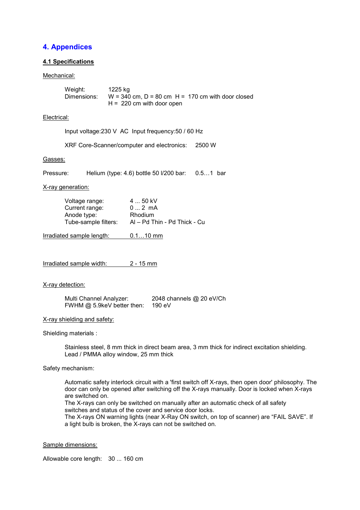# 4. Appendices

### 4.1 Specifications

#### Mechanical:

| Weight:     | 1225 kg                                             |
|-------------|-----------------------------------------------------|
| Dimensions: | $W = 340$ cm, D = 80 cm H = 170 cm with door closed |
|             | $H = 220$ cm with door open                         |

### Electrical:

Input voltage:230 V AC Input frequency:50 / 60 Hz

XRF Core-Scanner/computer and electronics: 2500 W

#### Gasses:

Pressure: Helium (type: 4.6) bottle 50 l/200 bar: 0.5...1 bar

X-ray generation:

| Voltage range:       | 4  50 kV                     |
|----------------------|------------------------------|
| Current range:       | $02$ mA                      |
| Anode type:          | Rhodium                      |
| Tube-sample filters: | Al – Pd Thin - Pd Thick - Cu |

Irradiated sample length: 0.1…10 mm

Irradiated sample width: 2 - 15 mm

X-ray detection:

 Multi Channel Analyzer: 2048 channels @ 20 eV/Ch FWHM @ 5.9keV better then: 190 eV

X-ray shielding and safety:

Shielding materials :

Stainless steel, 8 mm thick in direct beam area, 3 mm thick for indirect excitation shielding. Lead / PMMA alloy window, 25 mm thick

### Safety mechanism:

Automatic safety interlock circuit with a 'first switch off X-rays, then open door' philosophy. The door can only be opened after switching off the X-rays manually. Door is locked when X-rays are switched on.

 The X-rays can only be switched on manually after an automatic check of all safety switches and status of the cover and service door locks.

The X-rays ON warning lights (near X-Ray ON switch, on top of scanner) are "FAIL SAVE". If a light bulb is broken, the X-rays can not be switched on.

#### Sample dimensions:

Allowable core length: 30 ... 160 cm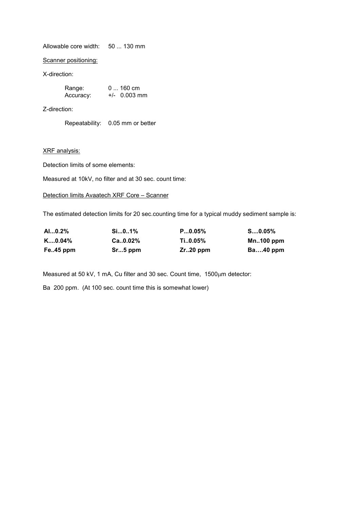Allowable core width: 50 ... 130 mm

Scanner positioning:

X-direction:

| Range:    | $0160$ cm      |
|-----------|----------------|
| Accuracy: | $+/-$ 0.003 mm |

Z-direction:

Repeatability: 0.05 mm or better

XRF analysis:

Detection limits of some elements:

Measured at 10kV, no filter and at 30 sec. count time:

### Detection limits Avaatech XRF Core – Scanner

The estimated detection limits for 20 sec.counting time for a typical muddy sediment sample is:

| AI0.2%             | Si01%         | P0.05%      | $S0.05\%$    |
|--------------------|---------------|-------------|--------------|
| $K_{\dots,0.04\%}$ | $Ca., 0.02\%$ | Ti0.05%     | $Mn.100$ ppm |
| Fe45 ppm           | $Sr5$ ppm     | $Zr.20$ ppm | $Ba40$ ppm   |

Measured at 50 kV, 1 mA, Cu filter and 30 sec. Count time, 1500µm detector:

Ba 200 ppm. (At 100 sec. count time this is somewhat lower)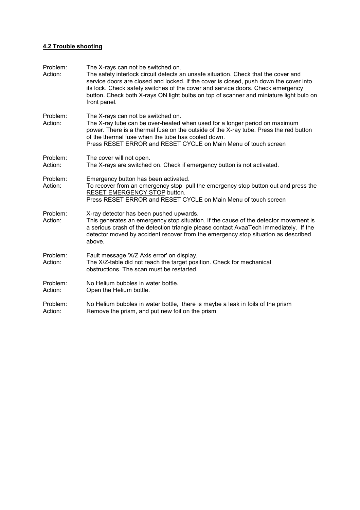### 4.2 Trouble shooting

| Problem:<br>Action: | The X-rays can not be switched on.<br>The safety interlock circuit detects an unsafe situation. Check that the cover and<br>service doors are closed and locked. If the cover is closed, push down the cover into<br>its lock. Check safety switches of the cover and service doors. Check emergency<br>button. Check both X-rays ON light bulbs on top of scanner and miniature light bulb on<br>front panel. |
|---------------------|----------------------------------------------------------------------------------------------------------------------------------------------------------------------------------------------------------------------------------------------------------------------------------------------------------------------------------------------------------------------------------------------------------------|
| Problem:<br>Action: | The X-rays can not be switched on.<br>The X-ray tube can be over-heated when used for a longer period on maximum<br>power. There is a thermal fuse on the outside of the X-ray tube. Press the red button<br>of the thermal fuse when the tube has cooled down.<br>Press RESET ERROR and RESET CYCLE on Main Menu of touch screen                                                                              |
| Problem:<br>Action: | The cover will not open.<br>The X-rays are switched on. Check if emergency button is not activated.                                                                                                                                                                                                                                                                                                            |
| Problem:<br>Action: | Emergency button has been activated.<br>To recover from an emergency stop pull the emergency stop button out and press the<br>RESET EMERGENCY STOP button.<br>Press RESET ERROR and RESET CYCLE on Main Menu of touch screen                                                                                                                                                                                   |
| Problem:<br>Action: | X-ray detector has been pushed upwards.<br>This generates an emergency stop situation. If the cause of the detector movement is<br>a serious crash of the detection triangle please contact AvaaTech immediately. If the<br>detector moved by accident recover from the emergency stop situation as described<br>above.                                                                                        |
| Problem:<br>Action: | Fault message 'X/Z Axis error' on display.<br>The X/Z-table did not reach the target position. Check for mechanical<br>obstructions. The scan must be restarted.                                                                                                                                                                                                                                               |
| Problem:<br>Action: | No Helium bubbles in water bottle.<br>Open the Helium bottle.                                                                                                                                                                                                                                                                                                                                                  |
| Problem:<br>Action: | No Helium bubbles in water bottle, there is maybe a leak in foils of the prism<br>Remove the prism, and put new foil on the prism                                                                                                                                                                                                                                                                              |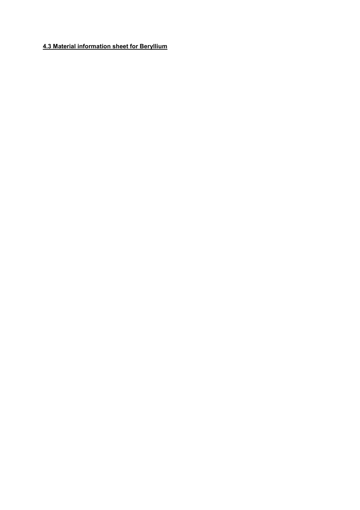# 4.3 Material information sheet for Beryllium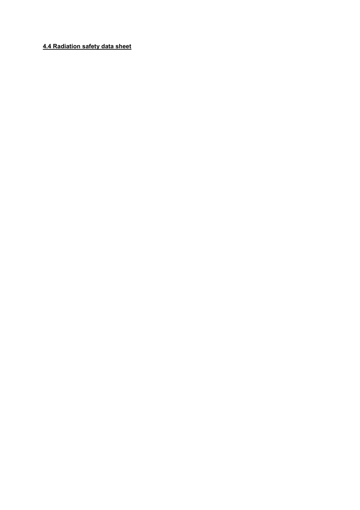### 4.4 Radiation safety data sheet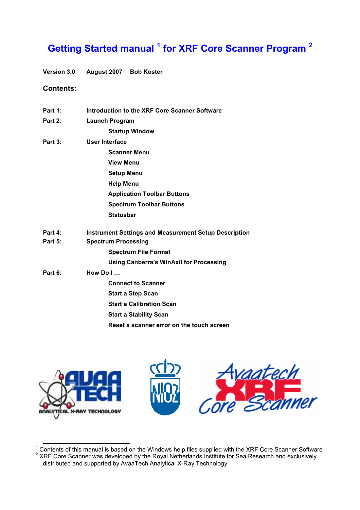# Getting Started manual <sup>1</sup> for XRF Core Scanner Program <sup>2</sup>

Version 3.0 August 2007 Bob Koster

### Contents:

| Part 1: | Introduction to the XRF Core Scanner Software                |
|---------|--------------------------------------------------------------|
| Part 2: | <b>Launch Program</b>                                        |
|         | <b>Startup Window</b>                                        |
| Part 3: | User Interface                                               |
|         | <b>Scanner Menu</b>                                          |
|         | <b>View Menu</b>                                             |
|         | <b>Setup Menu</b>                                            |
|         | <b>Help Menu</b>                                             |
|         | <b>Application Toolbar Buttons</b>                           |
|         | <b>Spectrum Toolbar Buttons</b>                              |
|         | <b>Statusbar</b>                                             |
| Part 4: | <b>Instrument Settings and Measurement Setup Description</b> |
| Part 5: | <b>Spectrum Processing</b>                                   |
|         | <b>Spectrum File Format</b>                                  |
|         | <b>Using Canberra's WinAxil for Processing</b>               |
| Part 6: | How Do $I$                                                   |
|         | <b>Connect to Scanner</b>                                    |
|         | <b>Start a Step Scan</b>                                     |
|         | <b>Start a Calibration Scan</b>                              |
|         | <b>Start a Stability Scan</b>                                |
|         | Reset a scanner error on the touch screen                    |



 $\frac{1}{2}$  Contents of this manual is based on the Windows help files supplied with the XRF Core Scanner Software<br>2 XRF Core Scanner was developed by the Royal Netherlands Institute for Sea Research and exclusively distributed and supported by AvaaTech Analytical X-Ray Technology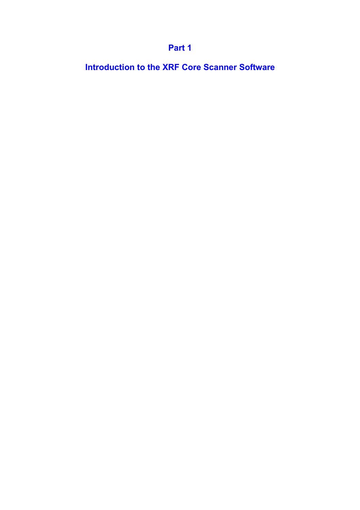# Part 1

Introduction to the XRF Core Scanner Software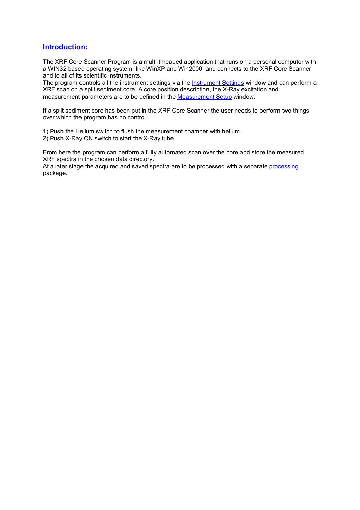### Introduction:

The XRF Core Scanner Program is a multi-threaded application that runs on a personal computer with a WIN32 based operating system, like WinXP and Win2000, and connects to the XRF Core Scanner and to all of its scientific instruments.

The program controls all the instrument settings via the **Instrument Settings** window and can perform a XRF scan on a split sediment core. A core position description, the X-Ray excitation and measurement parameters are to be defined in the Measurement Setup window.

If a split sediment core has been put in the XRF Core Scanner the user needs to perform two things over which the program has no control.

1) Push the Helium switch to flush the measurement chamber with helium.

2) Push X-Ray ON switch to start the X-Ray tube.

From here the program can perform a fully automated scan over the core and store the measured XRF spectra in the chosen data directory.

At a later stage the acquired and saved spectra are to be processed with a separate processing package.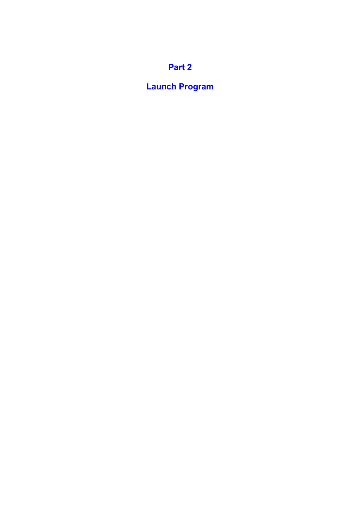# Part 2

# Launch Program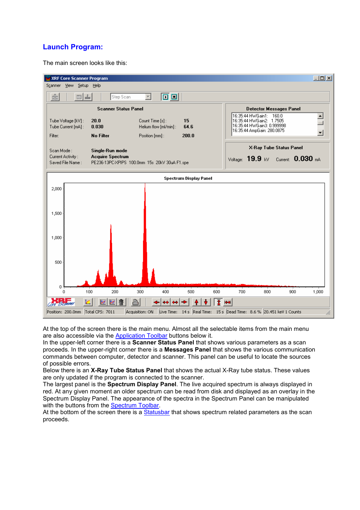# Launch Program:

The main screen looks like this:



At the top of the screen there is the main menu. Almost all the selectable items from the main menu are also accessible via the Application Toolbar buttons below it.

In the upper-left corner there is a **Scanner Status Panel** that shows various parameters as a scan proceeds. In the upper-right corner there is a Messages Panel that shows the various communication commands between computer, detector and scanner. This panel can be useful to locate the sources of possible errors.

Below there is an X-Ray Tube Status Panel that shows the actual X-Ray tube status. These values are only updated if the program is connected to the scanner.

The largest panel is the Spectrum Display Panel. The live acquired spectrum is always displayed in red. At any given moment an older spectrum can be read from disk and displayed as an overlay in the Spectrum Display Panel. The appearance of the spectra in the Spectrum Panel can be manipulated with the buttons from the Spectrum Toolbar.

At the bottom of the screen there is a Statusbar that shows spectrum related parameters as the scan proceeds.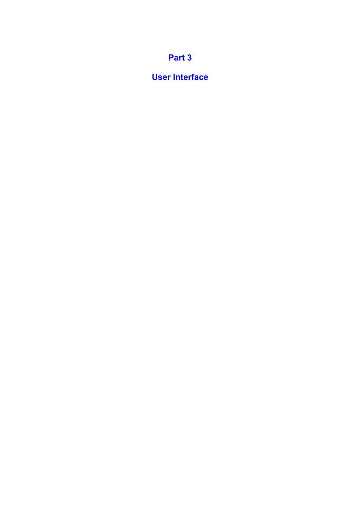# Part 3

# User Interface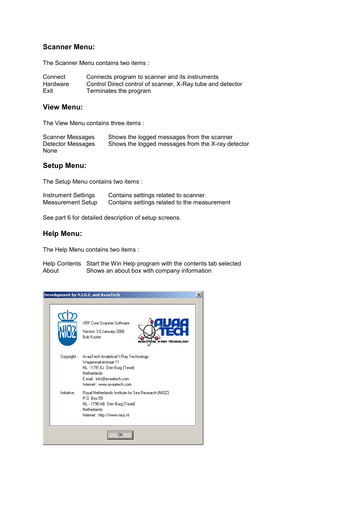### Scanner Menu:

The Scanner Menu contains two items :

| Connect  | Connects program to scanner and its instruments            |
|----------|------------------------------------------------------------|
| Hardware | Control Direct control of scanner, X-Ray tube and detector |
| Exit     | Terminates the program                                     |

### View Menu:

The View Menu contains three items :

| Scanner Messages  | Shows the logged messages from the scanner        |
|-------------------|---------------------------------------------------|
| Detector Messages | Shows the logged messages from the X-ray detector |
| None              |                                                   |

# Setup Menu:

The Setup Menu contains two items :

| Instrument Settings      | Contains settings related to scanner         |
|--------------------------|----------------------------------------------|
| <b>Measurement Setup</b> | Contains settings related to the measurement |

See part 6 for detailed description of setup screens.

### Help Menu:

The Help Menu contains two items :

Help Contents Start the Win Help program with the contents tab selected<br>About Shows an about box with company information Shows an about box with company information

|              | Development by N.I.O.Z. and AvaaTech                                                                                                                                    | x |
|--------------|-------------------------------------------------------------------------------------------------------------------------------------------------------------------------|---|
|              | XBE Core Scanner Software<br>Version 3.0 January 2006<br><b>Bob Koster</b>                                                                                              |   |
| Copyright :  | AvaaTech Analytical X-Ray Technology<br>Wagenmakerstraat 11<br>NL - 1791 EJ Den Burg (Texel)<br>Netherlands<br>E-mail: info@avaatech.com<br>Internet : www.avaatech.com |   |
| Initiative : | Royal Netherlands Institute for Sea Research (NIOZ)<br>P.O. Box 59<br>NL - 1790 AB Den Burg (Texel)<br>Netherlands<br>Internet : http://www.nioz.nl                     |   |
|              | <br>пκ                                                                                                                                                                  |   |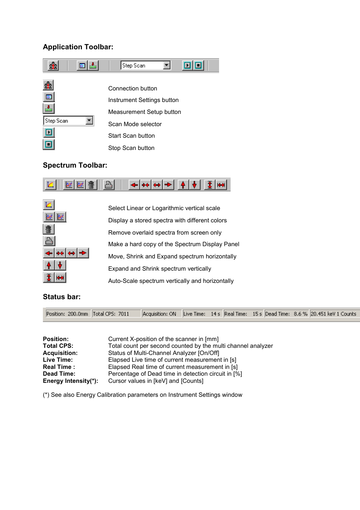# Application Toolbar:



## Spectrum Toolbar:





 Select Linear or Logarithmic vertical scale Display a stored spectra with different colors Remove overlaid spectra from screen only Make a hard copy of the Spectrum Display Panel Move, Shrink and Expand spectrum horizontally Expand and Shrink spectrum vertically Auto-Scale spectrum vertically and horizontally

# Status bar:

| Position: 200.0mm Total CPS: 7011 Acquisition: ON Live Time: 14s Real Time: 15s Dead Time: 8.6% 20.451 keV 1 Counts |  |  |  |  |  |
|---------------------------------------------------------------------------------------------------------------------|--|--|--|--|--|
|---------------------------------------------------------------------------------------------------------------------|--|--|--|--|--|

| <b>Position:</b>     | Current X-position of the scanner in [mm]                    |
|----------------------|--------------------------------------------------------------|
| <b>Total CPS:</b>    | Total count per second counted by the multi channel analyzer |
| <b>Acquisition:</b>  | Status of Multi-Channel Analyzer [On/Off]                    |
| Live Time:           | Elapsed Live time of current measurement in [s]              |
| <b>Real Time:</b>    | Elapsed Real time of current measurement in [s]              |
| Dead Time:           | Percentage of Dead time in detection circuit in [%]          |
| Energy Intensity(*): | Cursor values in [keV] and [Counts]                          |

(\*) See also Energy Calibration parameters on Instrument Settings window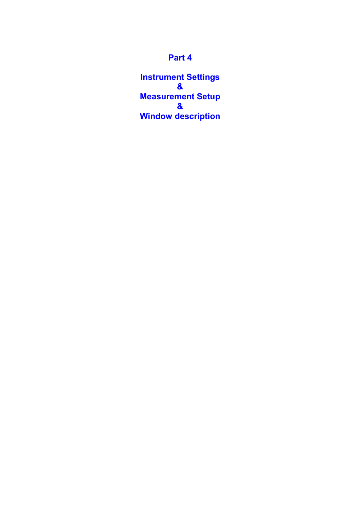# Part 4

Instrument Settings & Measurement Setup & Window description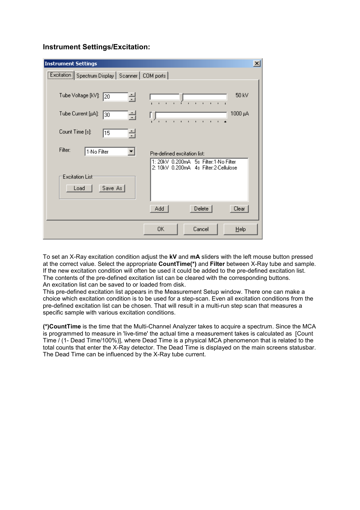### Instrument Settings/Excitation:

| <b>Instrument Settings</b>                                                                 | $\vert x \vert$ |
|--------------------------------------------------------------------------------------------|-----------------|
| Excitation   Spectrum Display   Scanner   COM ports                                        |                 |
|                                                                                            |                 |
| 50 kV<br>Tube Voltage [kV]:<br>클<br> 20<br>.                                               |                 |
| Tube Current [µA]:<br>1000 μΑ<br>픸<br>30<br>$\mathbf{r}$<br>$\mathbf{r}$ .<br>$\mathbf{r}$ |                 |
| Count Time [s]:<br>킄<br>15                                                                 |                 |
| Filter:<br>1-No Filter<br>▼<br>Pre-defined excitation list:                                |                 |
| 1: 20kV 0.200mA 5s Filter:1-No Filter<br>2: 10kV 0.200mA 4s Filter:2-Cellulose             |                 |
| Excitation List                                                                            |                 |
| Save As<br>Load                                                                            |                 |
| Delete<br>Clear<br>Add                                                                     |                 |
| OΚ<br>Cancel<br>Help                                                                       |                 |

To set an X-Ray excitation condition adjust the kV and  $mA$  sliders with the left mouse button pressed at the correct value. Select the appropriate CountTime(\*) and Filter between X-Ray tube and sample. If the new excitation condition will often be used it could be added to the pre-defined excitation list. The contents of the pre-defined excitation list can be cleared with the corresponding buttons. An excitation list can be saved to or loaded from disk.

This pre-defined excitation list appears in the Measurement Setup window. There one can make a choice which excitation condition is to be used for a step-scan. Even all excitation conditions from the pre-defined excitation list can be chosen. That will result in a multi-run step scan that measures a specific sample with various excitation conditions.

(\*)CountTime is the time that the Multi-Channel Analyzer takes to acquire a spectrum. Since the MCA is programmed to measure in 'live-time' the actual time a measurement takes is calculated as [Count Time / (1- Dead Time/100%)], where Dead Time is a physical MCA phenomenon that is related to the total counts that enter the X-Ray detector. The Dead Time is displayed on the main screens statusbar. The Dead Time can be influenced by the X-Ray tube current.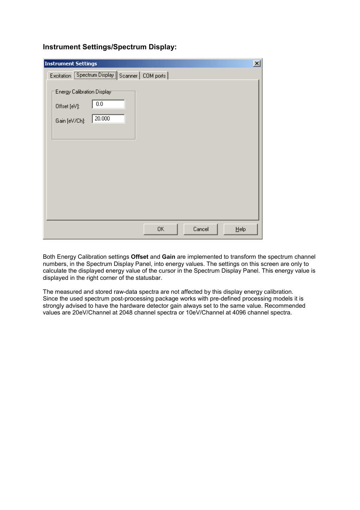| <b>Instrument Settings</b>                                                   | $\vert x \vert$ |
|------------------------------------------------------------------------------|-----------------|
| Excitation Spectrum Display Scanner   COM ports                              |                 |
| Energy Calibration Display<br>0.0<br>Offset [eV]:<br>20.000<br>Gain [eV/Ch]: |                 |
| 0K<br>Cancel<br>$He$ lp                                                      |                 |

Instrument Settings/Spectrum Display:

Both Energy Calibration settings **Offset** and Gain are implemented to transform the spectrum channel numbers, in the Spectrum Display Panel, into energy values. The settings on this screen are only to calculate the displayed energy value of the cursor in the Spectrum Display Panel. This energy value is displayed in the right corner of the statusbar.

The measured and stored raw-data spectra are not affected by this display energy calibration. Since the used spectrum post-processing package works with pre-defined processing models it is strongly advised to have the hardware detector gain always set to the same value. Recommended values are 20eV/Channel at 2048 channel spectra or 10eV/Channel at 4096 channel spectra.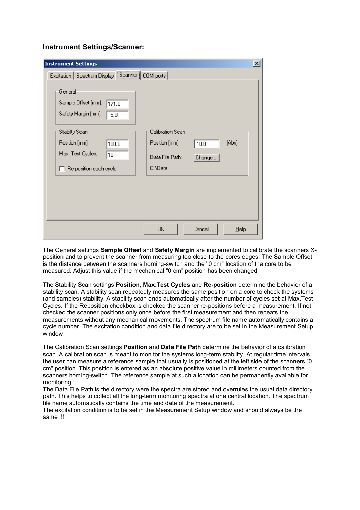### Instrument Settings/Scanner:

| <b>Instrument Settings</b>                                                                                                                                                                                                        |                                                                                                          | $\vert x \vert$ |
|-----------------------------------------------------------------------------------------------------------------------------------------------------------------------------------------------------------------------------------|----------------------------------------------------------------------------------------------------------|-----------------|
| Excitation   Spectrum Display   Scanner  <br>General<br>Sample Offset [mm]:<br>171.0<br>Safety Margin [mm]:<br>5.0<br><b>Stabilty Scam</b><br>Position [mm]:<br>100.0<br>Max. Test Cycles:<br>10<br>$\Box$ Re-position each cycle | COM ports<br>Calibration Scam<br>Position [mm]:<br>(Abs)<br>10.0<br>Data File Path:<br>Change<br>C:\Data |                 |
|                                                                                                                                                                                                                                   | 0K<br>Cancel<br>Help                                                                                     |                 |

The General settings **Sample Offset** and **Safety Margin** are implemented to calibrate the scanners Xposition and to prevent the scanner from measuring too close to the cores edges. The Sample Offset is the distance between the scanners homing-switch and the "0 cm" location of the core to be measured. Adjust this value if the mechanical "0 cm" position has been changed.

The Stability Scan settings Position, Max.Test Cycles and Re-position determine the behavior of a stability scan. A stability scan repeatedly measures the same position on a core to check the systems (and samples) stability. A stability scan ends automatically after the number of cycles set at Max.Test Cycles. If the Reposition checkbox is checked the scanner re-positions before a measurement. If not checked the scanner positions only once before the first measurement and then repeats the measurements without any mechanical movements. The spectrum file name automatically contains a cycle number. The excitation condition and data file directory are to be set in the Measurement Setup window.

The Calibration Scan settings Position and Data File Path determine the behavior of a calibration scan. A calibration scan is meant to monitor the systems long-term stability. At regular time intervals the user can measure a reference sample that usually is positioned at the left side of the scanners "0 cm" position. This position is entered as an absolute positive value in millimeters counted from the scanners homing-switch. The reference sample at such a location can be permanently available for monitoring.

The Data File Path is the directory were the spectra are stored and overrules the usual data directory path. This helps to collect all the long-term monitoring spectra at one central location. The spectrum file name automatically contains the time and date of the measurement.

The excitation condition is to be set in the Measurement Setup window and should always be the same !!!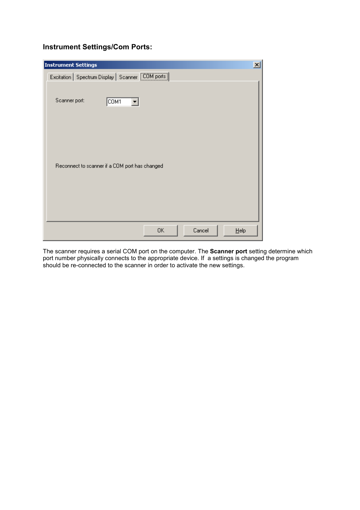# Instrument Settings/Com Ports:

| <b>Instrument Settings</b>                          | $\vert x \vert$ |
|-----------------------------------------------------|-----------------|
| Excitation   Spectrum Display   Scanner   COM ports |                 |
| Scanner port:<br>COM1<br>▼                          |                 |
| Reconnect to scanner if a COM port has changed      |                 |
| 0K<br>Cancel<br>Help                                |                 |

The scanner requires a serial COM port on the computer. The Scanner port setting determine which port number physically connects to the appropriate device. If a settings is changed the program should be re-connected to the scanner in order to activate the new settings.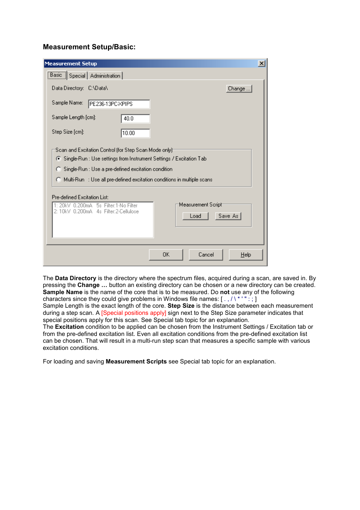### Measurement Setup/Basic:

| <b>Measurement Setup</b>                                                                                                                                                                                                                                                                   | $\vert x \vert$ |
|--------------------------------------------------------------------------------------------------------------------------------------------------------------------------------------------------------------------------------------------------------------------------------------------|-----------------|
| <b>Basic</b> Special Administration                                                                                                                                                                                                                                                        |                 |
| Data Directory: C:\Data\<br>Change                                                                                                                                                                                                                                                         |                 |
| Sample Name:<br>PE236-13PC-XPIPS                                                                                                                                                                                                                                                           |                 |
| Sample Length [cm]:<br>40.0                                                                                                                                                                                                                                                                |                 |
| Step Size [cm]:<br> 10.00                                                                                                                                                                                                                                                                  |                 |
| Scan and Excitation Control (for Step Scan Mode only):<br>⊙ Single-Run : Use settings from Instrument Settings / Excitation Tab<br>C Single-Run : Use a pre-defined excitation condition<br>$\bigcirc$ Multi-Run $\Rightarrow$ Use all pre-defined excitation conditions in multiple scans |                 |
| Pre-defined Excitation List:                                                                                                                                                                                                                                                               |                 |
| Measurement Script <sup>.</sup><br>1: 20kV 0.200mA 5s Filter:1-No Filter<br>2: 10kV 0.200mA 4s Filter:2-Cellulose<br>Save As<br>Load                                                                                                                                                       |                 |
| 0K<br>Cancel<br>Help                                                                                                                                                                                                                                                                       |                 |

The Data Directory is the directory where the spectrum files, acquired during a scan, are saved in. By pressing the Change … button an existing directory can be chosen or a new directory can be created. Sample Name is the name of the core that is to be measured. Do not use any of the following characters since they could give problems in Windows file names:  $[ . , / \backslash * ' " : ; ]$ 

Sample Length is the exact length of the core. Step Size is the distance between each measurement during a step scan. A [Special positions apply] sign next to the Step Size parameter indicates that special positions apply for this scan. See Special tab topic for an explanation.

The Excitation condition to be applied can be chosen from the Instrument Settings / Excitation tab or from the pre-defined excitation list. Even all excitation conditions from the pre-defined excitation list can be chosen. That will result in a multi-run step scan that measures a specific sample with various excitation conditions.

For loading and saving Measurement Scripts see Special tab topic for an explanation.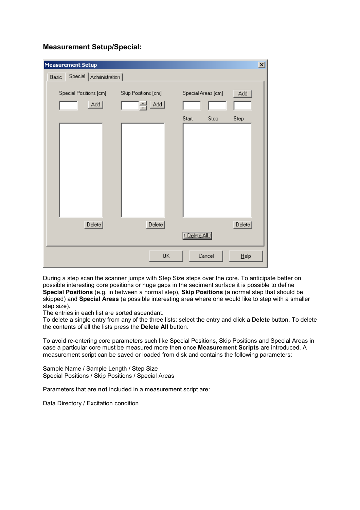# Measurement Setup/Special:

| <b>Measurement Setup</b>            |                            |                    | $\mathbf{x}$ |
|-------------------------------------|----------------------------|--------------------|--------------|
| Special   Administration  <br>Basic |                            |                    |              |
| Special Positions [cm]<br>Add       | Skip Positions [cm]<br>Add | Special Areas [cm] | Add          |
|                                     |                            | Stop<br>Start      | Step         |
| Delete                              | Delete                     | (Delete All.)      | Delete       |
|                                     | 0K                         | Cancel             | $He$ lp      |

During a step scan the scanner jumps with Step Size steps over the core. To anticipate better on possible interesting core positions or huge gaps in the sediment surface it is possible to define Special Positions (e.g. in between a normal step), Skip Positions (a normal step that should be skipped) and Special Areas (a possible interesting area where one would like to step with a smaller step size).

The entries in each list are sorted ascendant.

To delete a single entry from any of the three lists: select the entry and click a Delete button. To delete the contents of all the lists press the Delete All button.

To avoid re-entering core parameters such like Special Positions, Skip Positions and Special Areas in case a particular core must be measured more then once Measurement Scripts are introduced. A measurement script can be saved or loaded from disk and contains the following parameters:

Sample Name / Sample Length / Step Size Special Positions / Skip Positions / Special Areas

Parameters that are not included in a measurement script are:

Data Directory / Excitation condition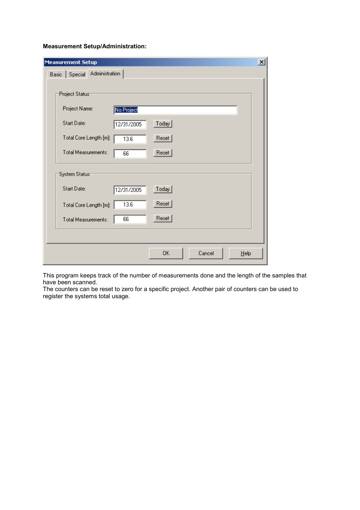### Measurement Setup/Administration:

| <b>Measurement Setup</b>        | $\vert x \vert$      |
|---------------------------------|----------------------|
| Special Administration<br>Basic |                      |
|                                 |                      |
| Project Status <sup>-</sup>     |                      |
| Project Name:<br>No Project     |                      |
| Start Date:<br>12/31/2005       | $\text{Today}$       |
| Total Core Length [m]:<br>13.6  | Reset                |
| Total Measurements:<br>66       | Reset                |
| System Status <sup>-</sup>      |                      |
| Start Date:<br>12/31/2005       | $\text{Today}$       |
| 13.6<br>Total Core Length [m]:  | Reset                |
| 66<br>Total Measurements:       | Reset                |
|                                 |                      |
|                                 | 0K<br>Cancel<br>Help |

This program keeps track of the number of measurements done and the length of the samples that have been scanned.

The counters can be reset to zero for a specific project. Another pair of counters can be used to register the systems total usage.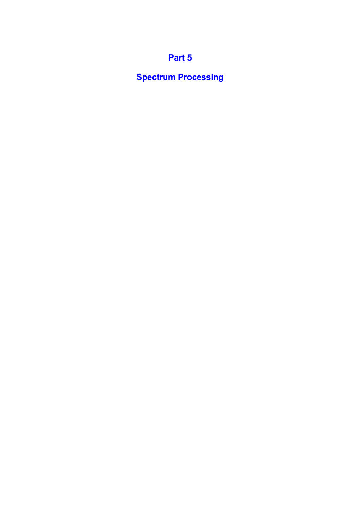# Part 5

Spectrum Processing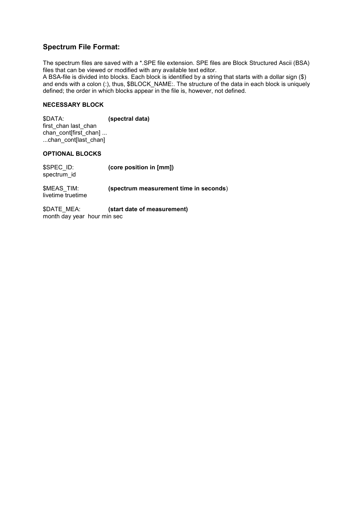# Spectrum File Format:

The spectrum files are saved with a \*.SPE file extension. SPE files are Block Structured Ascii (BSA) files that can be viewed or modified with any available text editor.

A BSA-file is divided into blocks. Each block is identified by a string that starts with a dollar sign (\$) and ends with a colon (:), thus, \$BLOCK\_NAME:. The structure of the data in each block is uniquely defined; the order in which blocks appear in the file is, however, not defined.

### NECESSARY BLOCK

\$DATA: (spectral data) first\_chan last\_chan chan\_cont[first\_chan] ... ...chan\_cont[last\_chan]

#### OPTIONAL BLOCKS

| \$SPEC ID:<br>spectrum id | (core position in [mm])                |
|---------------------------|----------------------------------------|
| \$MEAS TIM:               | (spectrum measurement time in seconds) |

livetime truetime

\$DATE\_MEA: (start date of measurement) month day year hour min sec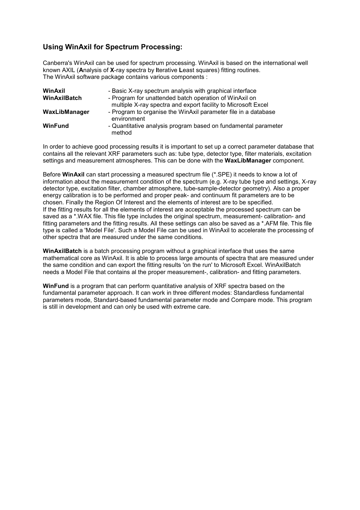### Using WinAxil for Spectrum Processing:

Canberra's WinAxil can be used for spectrum processing. WinAxil is based on the international well known AXIL (Analysis of X-ray spectra by Iterative Least squares) fitting routines. The WinAxil software package contains various components :

| WinAxil<br>WinAxilBatch | - Basic X-ray spectrum analysis with graphical interface<br>- Program for unattended batch operation of WinAxil on<br>multiple X-ray spectra and export facility to Microsoft Excel |
|-------------------------|-------------------------------------------------------------------------------------------------------------------------------------------------------------------------------------|
| WaxLibManager           | - Program to organise the WinAxil parameter file in a database<br>environment                                                                                                       |
| <b>WinFund</b>          | - Quantitative analysis program based on fundamental parameter<br>method                                                                                                            |

In order to achieve good processing results it is important to set up a correct parameter database that contains all the relevant XRF parameters such as: tube type, detector type, filter materials, excitation settings and measurement atmospheres. This can be done with the WaxLibManager component.

Before WinAxil can start processing a measured spectrum file (\*.SPE) it needs to know a lot of information about the measurement condition of the spectrum (e.g. X-ray tube type and settings, X-ray detector type, excitation filter, chamber atmosphere, tube-sample-detector geometry). Also a proper energy calibration is to be performed and proper peak- and continuum fit parameters are to be chosen. Finally the Region Of Interest and the elements of interest are to be specified. If the fitting results for all the elements of interest are acceptable the processed spectrum can be saved as a \*.WAX file. This file type includes the original spectrum, measurement- calibration- and fitting parameters and the fitting results. All these settings can also be saved as a \*.AFM file. This file type is called a 'Model File'. Such a Model File can be used in WinAxil to accelerate the processing of other spectra that are measured under the same conditions.

WinAxilBatch is a batch processing program without a graphical interface that uses the same mathematical core as WinAxil. It is able to process large amounts of spectra that are measured under the same condition and can export the fitting results 'on the run' to Microsoft Excel. WinAxilBatch needs a Model File that contains al the proper measurement-, calibration- and fitting parameters.

WinFund is a program that can perform quantitative analysis of XRF spectra based on the fundamental parameter approach. It can work in three different modes: Standardless fundamental parameters mode, Standard-based fundamental parameter mode and Compare mode. This program is still in development and can only be used with extreme care.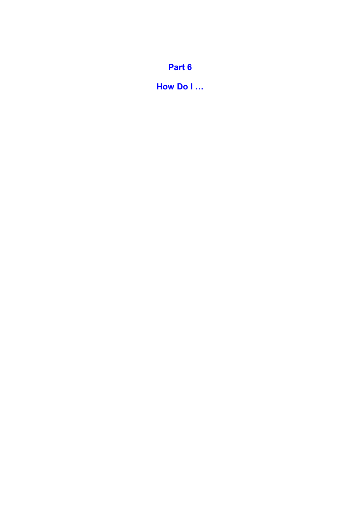## Part 6

How Do I …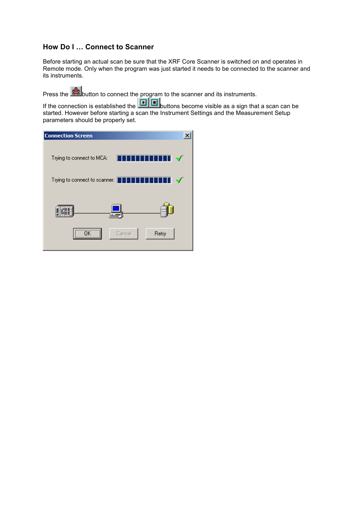### How Do I … Connect to Scanner

Before starting an actual scan be sure that the XRF Core Scanner is switched on and operates in Remote mode. Only when the program was just started it needs to be connected to the scanner and its instruments.

Press the **Button** to connect the program to the scanner and its instruments.

If the connection is established the **buttons** become visible as a sign that a scan can be started. However before starting a scan the Instrument Settings and the Measurement Setup parameters should be properly set.

| <b>Connection Screen</b>        |        |                   |
|---------------------------------|--------|-------------------|
| Trying to connect to MCA:       | П<br>ı | $\mathcal I$<br>1 |
| Trying to connect to scanner: [ | ד      | $\checkmark$<br>I |
|                                 |        |                   |
|                                 |        |                   |
| nĸ.                             | Cancel | Retry             |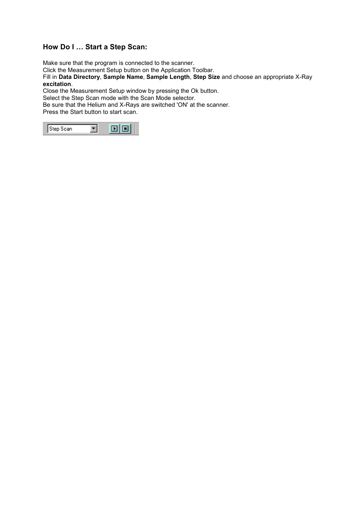### How Do I … Start a Step Scan:

Make sure that the program is connected to the scanner.

Click the Measurement Setup button on the Application Toolbar.

Fill in Data Directory, Sample Name, Sample Length, Step Size and choose an appropriate X-Ray excitation.

Close the Measurement Setup window by pressing the Ok button.

Select the Step Scan mode with the Scan Mode selector.

Be sure that the Helium and X-Rays are switched 'ON' at the scanner.

Press the Start button to start scan.

| :an<br>- |
|----------|
|----------|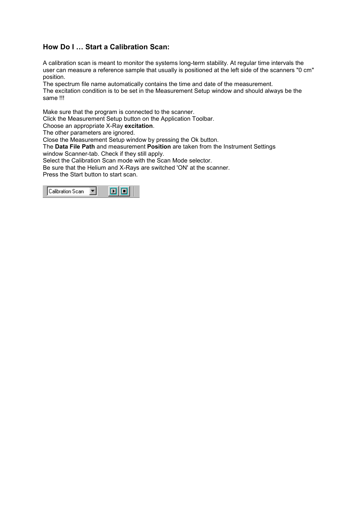### How Do I … Start a Calibration Scan:

A calibration scan is meant to monitor the systems long-term stability. At regular time intervals the user can measure a reference sample that usually is positioned at the left side of the scanners "0 cm" position.

The spectrum file name automatically contains the time and date of the measurement. The excitation condition is to be set in the Measurement Setup window and should always be the same !!!

Make sure that the program is connected to the scanner.

Click the Measurement Setup button on the Application Toolbar.

Choose an appropriate X-Ray excitation.

The other parameters are ignored.

Close the Measurement Setup window by pressing the Ok button.

The Data File Path and measurement Position are taken from the Instrument Settings window Scanner-tab. Check if they still apply.

Select the Calibration Scan mode with the Scan Mode selector.

Be sure that the Helium and X-Rays are switched 'ON' at the scanner.

Press the Start button to start scan.

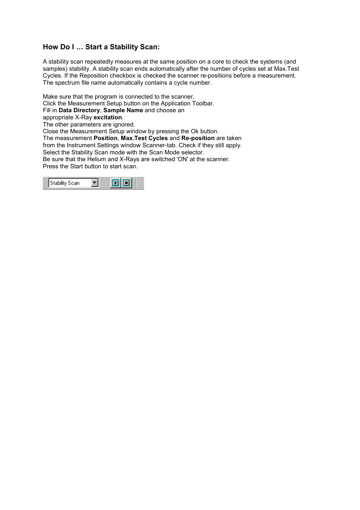### How Do I … Start a Stability Scan:

A stability scan repeatedly measures at the same position on a core to check the systems (and samples) stability. A stability scan ends automatically after the number of cycles set at Max.Test Cycles. If the Reposition checkbox is checked the scanner re-positions before a measurement. The spectrum file name automatically contains a cycle number.

Make sure that the program is connected to the scanner.

Click the Measurement Setup button on the Application Toolbar.

Fill in Data Directory, Sample Name and choose an

appropriate X-Ray excitation.

The other parameters are ignored.

Close the Measurement Setup window by pressing the Ok button.

The measurement Position, Max.Test Cycles and Re-position are taken from the Instrument Settings window Scanner-tab. Check if they still apply.

Select the Stability Scan mode with the Scan Mode selector.

Be sure that the Helium and X-Rays are switched 'ON' at the scanner. Press the Start button to start scan.

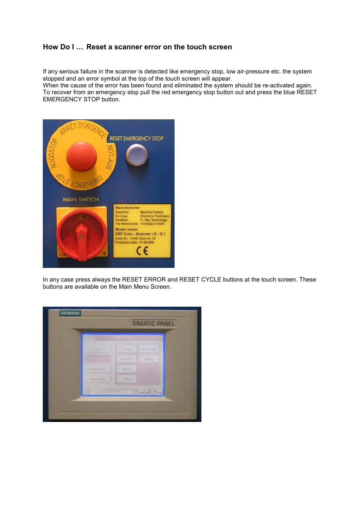### How Do I … Reset a scanner error on the touch screen

If any serious failure in the scanner is detected like emergency stop, low air-pressure etc. the system stopped and an error symbol at the top of the touch screen will appear.

When the cause of the error has been found and eliminated the system should be re-activated again. To recover from an emergency stop pull the red emergency stop button out and press the blue RESET EMERGENCY STOP button.



In any case press always the RESET ERROR and RESET CYCLE buttons at the touch screen. These buttons are available on the Main Menu Screen.

|                   |                | SIMATIC PANEL  |  |
|-------------------|----------------|----------------|--|
|                   |                |                |  |
| <b>South of</b>   | A Wales        | more property  |  |
|                   | <b>COLLELL</b> | <b>Shirter</b> |  |
| <b>Band Cover</b> | Sales          |                |  |
| <b>Boot Lists</b> | <b>Village</b> |                |  |
| -                 |                | $= -111 -$     |  |
|                   |                |                |  |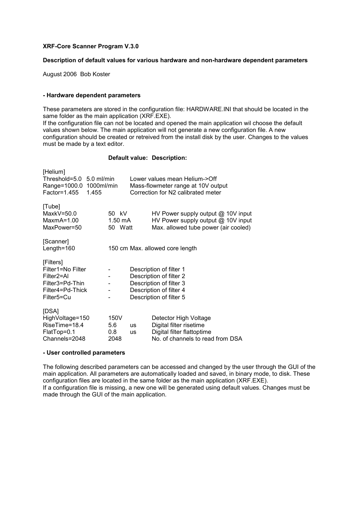#### XRF-Core Scanner Program V.3.0

#### Description of default values for various hardware and non-hardware dependent parameters

August 2006 Bob Koster

#### - Hardware dependent parameters

These parameters are stored in the configuration file: HARDWARE.INI that should be located in the same folder as the main application (XRF.EXE).

If the configuration file can not be located and opened the main application wil choose the default values shown below. The main application will not generate a new configuration file. A new configuration should be created or retreived from the install disk by the user. Changes to the values must be made by a text editor.

#### Default value: Description:

| [Helium]<br>Threshold=5.0 5.0 ml/min<br>Range=1000.0 1000ml/min<br>Factor=1.455<br>1.455                       |                                         |                                                                                                                                     | Lower values mean Helium->Off<br>Mass-flowmeter range at 10V output<br>Correction for N2 calibrated meter          |
|----------------------------------------------------------------------------------------------------------------|-----------------------------------------|-------------------------------------------------------------------------------------------------------------------------------------|--------------------------------------------------------------------------------------------------------------------|
| [Tube]<br>$MaxkV = 50.0$<br>MaxmA=1.00<br>MaxPower=50                                                          | 50 kV<br>1.50 mA<br>50 Watt             |                                                                                                                                     | HV Power supply output $@$ 10V input<br>HV Power supply output @ 10V input<br>Max. allowed tube power (air cooled) |
| [Scanner]<br>Length= $160$                                                                                     |                                         |                                                                                                                                     | 150 cm Max. allowed core length                                                                                    |
| [Filters]<br>Filter1=No Filter<br>Filter <sub>2</sub> =Al<br>Filter3=Pd-Thin<br>Filter4=Pd-Thick<br>Filter5=Cu |                                         | Description of filter 1<br>Description of filter 2<br>Description of filter 3<br>Description of filter 4<br>Description of filter 5 |                                                                                                                    |
| [DSA]<br>HighVoltage=150<br>RiseTime=18.4<br>FlatTop=0.1<br>Channels=2048                                      | 150V<br>5.6<br>0.8 <sub>1</sub><br>2048 | <b>us</b><br><b>us</b>                                                                                                              | Detector High Voltage<br>Digital filter risetime<br>Digital filter flattoptime<br>No. of channels to read from DSA |

#### - User controlled parameters

The following described parameters can be accessed and changed by the user through the GUI of the main application. All parameters are automatically loaded and saved, in binary mode, to disk. These configuration files are located in the same folder as the main application (XRF.EXE). If a configuration file is missing, a new one will be generated using default values. Changes must be made through the GUI of the main application.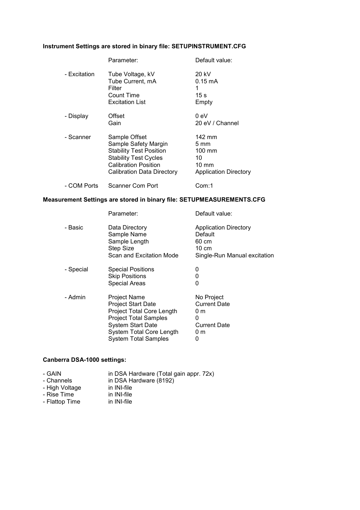#### Instrument Settings are stored in binary file: SETUPINSTRUMENT.CFG

|              | Parameter:                                                                                                                                                           | Default value:                                                                                        |
|--------------|----------------------------------------------------------------------------------------------------------------------------------------------------------------------|-------------------------------------------------------------------------------------------------------|
| - Excitation | Tube Voltage, kV<br>Tube Current, mA<br>Filter<br>Count Time<br><b>Excitation List</b>                                                                               | 20 kV<br>$0.15 \text{ mA}$<br>1<br>15 s<br>Empty                                                      |
| - Display    | Offset<br>Gain                                                                                                                                                       | 0 eV<br>20 eV / Channel                                                                               |
| - Scanner    | Sample Offset<br>Sample Safety Margin<br><b>Stability Test Position</b><br><b>Stability Test Cycles</b><br><b>Calibration Position</b><br>Calibration Data Directory | 142 mm<br>$5 \text{ mm}$<br>$100 \text{ mm}$<br>10<br>$10 \text{ mm}$<br><b>Application Directory</b> |
| - COM Ports  | Scanner Com Port                                                                                                                                                     | Com:1                                                                                                 |

#### Measurement Settings are stored in binary file: SETUPMEASUREMENTS.CFG

|           | Parameter:                                                                                                                                                                                    | Default value:                                                                              |
|-----------|-----------------------------------------------------------------------------------------------------------------------------------------------------------------------------------------------|---------------------------------------------------------------------------------------------|
| - Basic   | Data Directory<br>Sample Name<br>Sample Length<br>Step Size<br>Scan and Excitation Mode                                                                                                       | <b>Application Directory</b><br>Default<br>60 cm<br>10 cm<br>Single-Run Manual excitation   |
| - Special | <b>Special Positions</b><br><b>Skip Positions</b><br><b>Special Areas</b>                                                                                                                     | 0<br>0<br>0                                                                                 |
| - Admin   | Project Name<br><b>Project Start Date</b><br>Project Total Core Length<br><b>Project Total Samples</b><br><b>System Start Date</b><br>System Total Core Length<br><b>System Total Samples</b> | No Project<br><b>Current Date</b><br>0 <sub>m</sub><br>0<br><b>Current Date</b><br>0 m<br>0 |

### Canberra DSA-1000 settings:

| - GAIN         | in DSA Hardware (Total gain appr. 72x) |
|----------------|----------------------------------------|
| - Channels     | in DSA Hardware (8192)                 |
| - High Voltage | in INI-file                            |
| - Rise Time    | in INI-file                            |

- Flattop Time in INI-file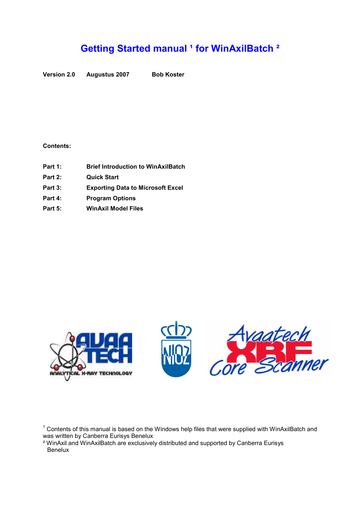# Getting Started manual<sup>1</sup> for WinAxilBatch<sup>2</sup>

Version 2.0 Augustus 2007 Bob Koster

#### Contents:

- Part 1: Brief Introduction to WinAxilBatch
- Part 2: Quick Start
- Part 3: Exporting Data to Microsoft Excel
- Part 4: Program Options
- Part 5: WinAxil Model Files







 $1$  Contents of this manual is based on the Windows help files that were supplied with WinAxilBatch and was written by Canberra Eurisys Benelux

² WinAxil and WinAxilBatch are exclusively distributed and supported by Canberra Eurisys **Benelux**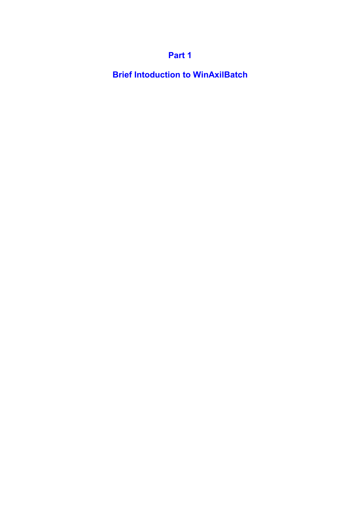## Part 1

Brief Intoduction to WinAxilBatch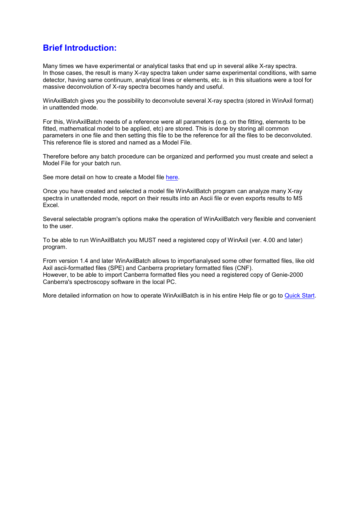## Brief Introduction:

Many times we have experimental or analytical tasks that end up in several alike X-ray spectra. In those cases, the result is many X-ray spectra taken under same experimental conditions, with same detector, having same continuum, analytical lines or elements, etc. is in this situations were a tool for massive deconvolution of X-ray spectra becomes handy and useful.

WinAxilBatch gives you the possibility to deconvolute several X-ray spectra (stored in WinAxil format) in unattended mode.

For this, WinAxilBatch needs of a reference were all parameters (e.g. on the fitting, elements to be fitted, mathematical model to be applied, etc) are stored. This is done by storing all common parameters in one file and then setting this file to be the reference for all the files to be deconvoluted. This reference file is stored and named as a Model File.

Therefore before any batch procedure can be organized and performed you must create and select a Model File for your batch run.

See more detail on how to create a Model file here.

Once you have created and selected a model file WinAxilBatch program can analyze many X-ray spectra in unattended mode, report on their results into an Ascii file or even exports results to MS Excel.

Several selectable program's options make the operation of WinAxilBatch very flexible and convenient to the user.

To be able to run WinAxilBatch you MUST need a registered copy of WinAxil (ver. 4.00 and later) program.

From version 1.4 and later WinAxilBatch allows to import\analysed some other formatted files, like old Axil ascii-formatted files (SPE) and Canberra proprietary formatted files (CNF). However, to be able to import Canberra formatted files you need a registered copy of Genie-2000 Canberra's spectroscopy software in the local PC.

More detailed information on how to operate WinAxilBatch is in his entire Help file or go to Quick Start.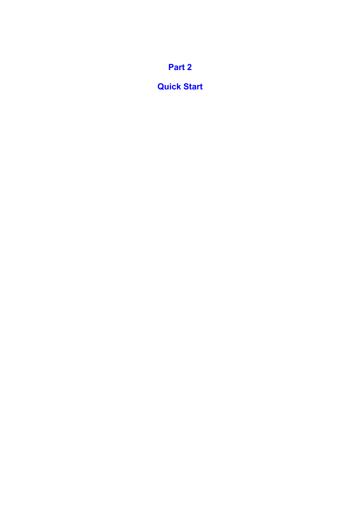# Part 2

## Quick Start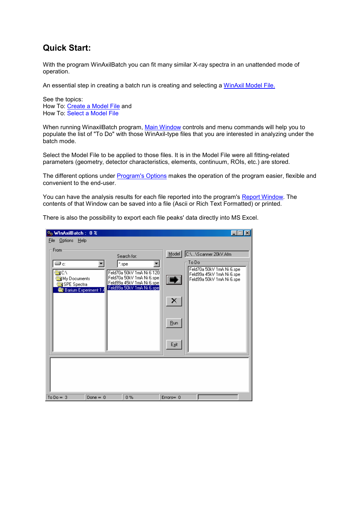## Quick Start:

With the program WinAxilBatch you can fit many similar X-ray spectra in an unattended mode of operation.

An essential step in creating a batch run is creating and selecting a WinAxil Model File.

See the topics: How To: Create a Model File and How To: Select a Model File

When running WinaxilBatch program, Main Window controls and menu commands will help you to populate the list of "To Do" with those WinAxil-type files that you are interested in analyzing under the batch mode.

Select the Model File to be applied to those files. It is in the Model File were all fitting-related parameters (geometry, detector characteristics, elements, continuum, ROIs, etc.) are stored.

The different options under Program's Options makes the operation of the program easier, flexible and convenient to the end-user.

You can have the analysis results for each file reported into the program's Report Window. The contents of that Window can be saved into a file (Ascii or Rich Text Formatted) or printed.

There is also the possibility to export each file peaks' data directly into MS Excel.

| % WinAxilBatch: 0 %                                                                                                                                                                                                    |                                                                                                                                                                                                 |
|------------------------------------------------------------------------------------------------------------------------------------------------------------------------------------------------------------------------|-------------------------------------------------------------------------------------------------------------------------------------------------------------------------------------------------|
| <u>Options H</u> elp<br><b>File</b>                                                                                                                                                                                    |                                                                                                                                                                                                 |
| From<br>Search for:<br>⊜c:<br>*.spe<br>NCA<br>Feld70a 50kV 1mA Ni 6 120<br>Feld70a 50kV 1mA Ni 6.spe<br>My Documents<br>Feld99a 45kV 1mA Ni 6.spe<br>SPE Spectra<br>Feld99a 50kV 1mA Ni 6.spe<br>Barium Experiment 1.4 | C:\\Scanner 20kV.Afm<br>Model<br>To Do-<br>Feld70a 50kV 1mA Ni 6.spe<br>Feld99a 45kV 1mA Ni 6.spe<br>$\overline{\mathbf{D}}$<br>Feld99a 50kV 1mA Ni 6.spe<br>×<br>Bun<br>$E_{\underline{x}}$ it |
|                                                                                                                                                                                                                        |                                                                                                                                                                                                 |
| To $Do = 3$<br>Done $= 0$<br>0%                                                                                                                                                                                        | $Errors = 0$                                                                                                                                                                                    |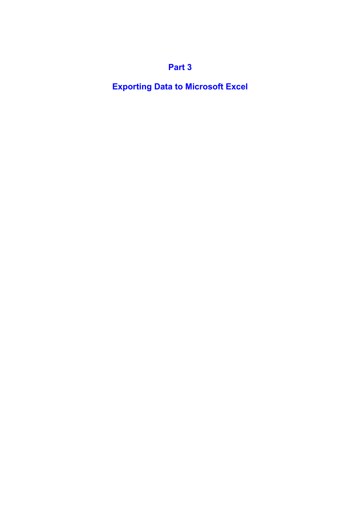# Part 3

Exporting Data to Microsoft Excel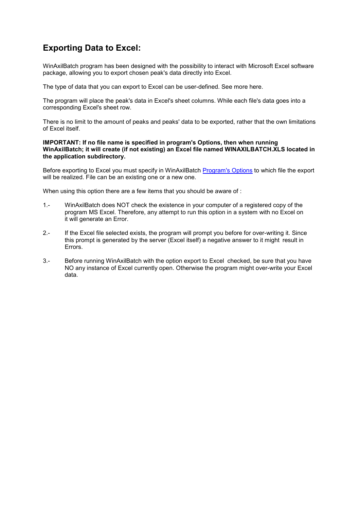## Exporting Data to Excel:

WinAxilBatch program has been designed with the possibility to interact with Microsoft Excel software package, allowing you to export chosen peak's data directly into Excel.

The type of data that you can export to Excel can be user-defined. See more here.

The program will place the peak's data in Excel's sheet columns. While each file's data goes into a corresponding Excel's sheet row.

There is no limit to the amount of peaks and peaks' data to be exported, rather that the own limitations of Excel itself.

#### IMPORTANT: If no file name is specified in program's Options, then when running WinAxilBatch; it will create (if not existing) an Excel file named WINAXILBATCH.XLS located in the application subdirectory.

Before exporting to Excel you must specify in WinAxilBatch Program's Options to which file the export will be realized. File can be an existing one or a new one.

When using this option there are a few items that you should be aware of :

- 1.- WinAxilBatch does NOT check the existence in your computer of a registered copy of the program MS Excel. Therefore, any attempt to run this option in a system with no Excel on it will generate an Error.
- 2.- If the Excel file selected exists, the program will prompt you before for over-writing it. Since this prompt is generated by the server (Excel itself) a negative answer to it might result in Errors.
- 3.- Before running WinAxilBatch with the option export to Excel checked, be sure that you have NO any instance of Excel currently open. Otherwise the program might over-write your Excel data.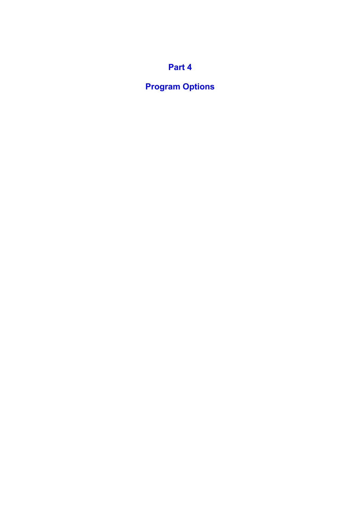# Part 4

# Program Options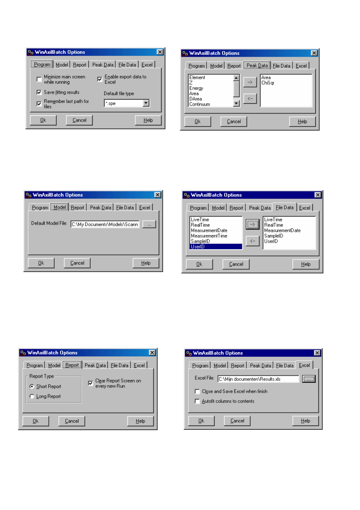| ် WinAxilBatch Options                         |                                                        |
|------------------------------------------------|--------------------------------------------------------|
|                                                | Program Model   Report   Peak Data   File Data   Excel |
| Minimize main screen<br>while running          | Enable export data to                                  |
| $\nabla$ Save fitting results                  | Default file type                                      |
| Rem <u>e</u> mber last path for<br>ঢ়<br>files | *.spe                                                  |
| Cancel<br>Οk                                   | Help                                                   |

| % WinAxilBatch Options<br>Program   Model   Report   Peak Data   File Data   Excel                              |      |
|-----------------------------------------------------------------------------------------------------------------|------|
| Element<br>Area<br>ChiSar<br>--><br>Energy<br>Area<br>$\left\langle \ldots \right\rangle$<br>DArea<br>Continuum |      |
| Cancel<br>Ok                                                                                                    | Help |

| <b>So WinAxilBatch Options</b>                         |  |
|--------------------------------------------------------|--|
| Program Model   Report   Peak Data   File Data   Excel |  |
| Default Model File: C:\My Documents\Models\Scann       |  |
| Ok<br>Cancel<br>Help                                   |  |

| <b>O<sub>o</sub> WinAxilBatch Options</b><br>Program   Model   Report   Peak Data   Eile Data   Excel  <br>LiveTime<br><b>LiveTime</b><br><b>RealTime</b><br>RealTime<br>MeasurementDate<br>MeasurementDate<br><b>MeasurementTime</b><br>SampleID<br>UserID<br>$\leftarrow$<br>SampleID<br>UserID |      |
|---------------------------------------------------------------------------------------------------------------------------------------------------------------------------------------------------------------------------------------------------------------------------------------------------|------|
| Cancel<br>Ūk                                                                                                                                                                                                                                                                                      | Help |

| <sub>o</sub> WinAxilBatch Options |                                                          |
|-----------------------------------|----------------------------------------------------------|
|                                   | Program   Model   Report   Peak Data   File Data   Excel |
| Report Type:                      |                                                          |
| G Short Report                    | 区 Clear Report Screen on<br>every new Run                |
| C Long Report                     |                                                          |
|                                   |                                                          |
| Cancel<br>Οk                      | Help                                                     |

| <b>O<sub>o</sub> WinAxilBatch Options</b>                |  |
|----------------------------------------------------------|--|
| Program   Model   Report   Peak Data   File Data   Excel |  |
| Excel File: C:\Mijn documenten\Results.xls               |  |
| Close and Save Excel when finish                         |  |
| Autofit columns to contents                              |  |
| Cancel<br>Help<br>Ūk                                     |  |
|                                                          |  |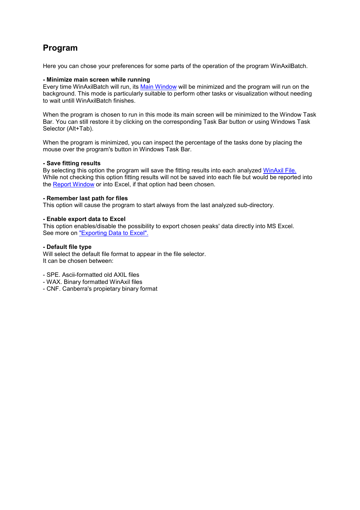## Program

Here you can chose your preferences for some parts of the operation of the program WinAxilBatch.

#### - Minimize main screen while running

Every time WinAxilBatch will run, its Main Window will be minimized and the program will run on the background. This mode is particularly suitable to perform other tasks or visualization without needing to wait untill WinAxilBatch finishes.

When the program is chosen to run in this mode its main screen will be minimized to the Window Task Bar. You can still restore it by clicking on the corresponding Task Bar button or using Windows Task Selector (Alt+Tab).

When the program is minimized, you can inspect the percentage of the tasks done by placing the mouse over the program's button in Windows Task Bar.

#### - Save fitting results

By selecting this option the program will save the fitting results into each analyzed WinAxil File. While not checking this option fitting results will not be saved into each file but would be reported into the Report Window or into Excel, if that option had been chosen.

#### - Remember last path for files

This option will cause the program to start always from the last analyzed sub-directory.

#### - Enable export data to Excel

This option enables/disable the possibility to export chosen peaks' data directly into MS Excel. See more on "Exporting Data to Excel".

#### - Default file type

Will select the default file format to appear in the file selector. It can be chosen between:

- SPE. Ascii-formatted old AXIL files
- WAX. Binary formatted WinAxil files
- CNF. Canberra's propietary binary format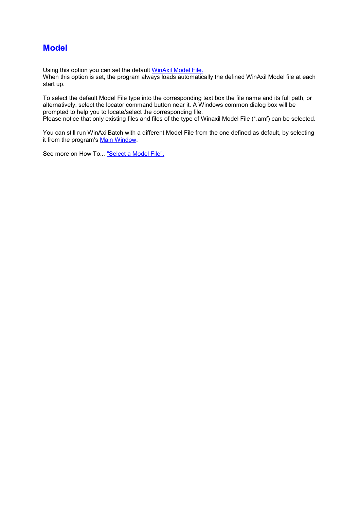### **Model**

Using this option you can set the default WinAxil Model File.

When this option is set, the program always loads automatically the defined WinAxil Model file at each start up.

To select the default Model File type into the corresponding text box the file name and its full path, or alternatively, select the locator command button near it. A Windows common dialog box will be prompted to help you to locate/select the corresponding file. Please notice that only existing files and files of the type of Winaxil Model File (\*.amf) can be selected.

You can still run WinAxilBatch with a different Model File from the one defined as default, by selecting it from the program's Main Window.

See more on How To... "Select a Model File".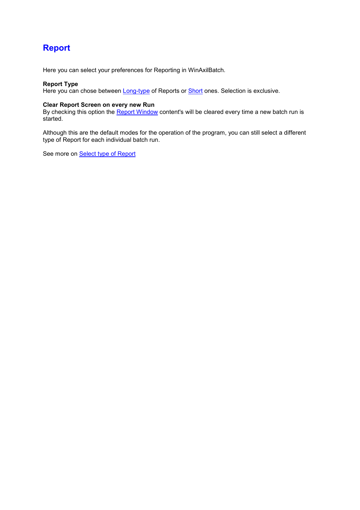## Report

Here you can select your preferences for Reporting in WinAxilBatch.

#### Report Type

Here you can chose between Long-type of Reports or Short ones. Selection is exclusive.

#### Clear Report Screen on every new Run

By checking this option the Report Window content's will be cleared every time a new batch run is started.

Although this are the default modes for the operation of the program, you can still select a different type of Report for each individual batch run.

See more on **Select type of Report**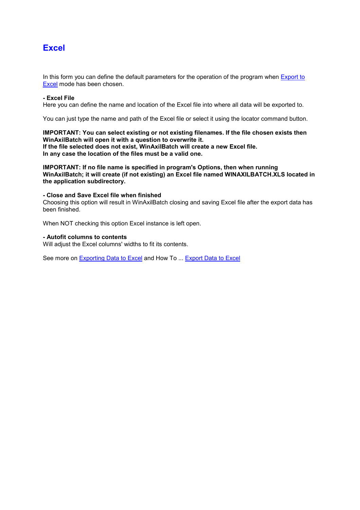### **Excel**

In this form you can define the default parameters for the operation of the program when Export to Excel mode has been chosen.

#### - Excel File

Here you can define the name and location of the Excel file into where all data will be exported to.

You can just type the name and path of the Excel file or select it using the locator command button.

#### IMPORTANT: You can select existing or not existing filenames. If the file chosen exists then WinAxilBatch will open it with a question to overwrite it.

If the file selected does not exist, WinAxilBatch will create a new Excel file. In any case the location of the files must be a valid one.

IMPORTANT: If no file name is specified in program's Options, then when running WinAxilBatch; it will create (if not existing) an Excel file named WINAXILBATCH.XLS located in the application subdirectory.

#### - Close and Save Excel file when finished

Choosing this option will result in WinAxilBatch closing and saving Excel file after the export data has been finished.

When NOT checking this option Excel instance is left open.

#### - Autofit columns to contents

Will adjust the Excel columns' widths to fit its contents.

See more on Exporting Data to Excel and How To ... Export Data to Excel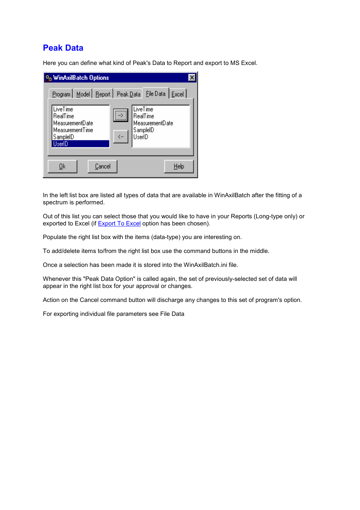## Peak Data

Here you can define what kind of Peak's Data to Report and export to MS Excel.

| <b>So WinAxilBatch Options</b><br><u> P</u> rogram   Model   <u>R</u> eport   Peak <u>D</u> ata   Eile Data   <u>E</u> xcel  <br>LiveTime<br><b>LiveTime</b><br>RealTime<br>RealTime<br>MeasurementDate<br>MeasurementDate<br>MeasurementTime<br>SampleID<br>$\left\langle  \right\rangle$<br>UserID<br>SampleID<br>UserID |
|----------------------------------------------------------------------------------------------------------------------------------------------------------------------------------------------------------------------------------------------------------------------------------------------------------------------------|
| Cancel<br>Help<br><u>Ok</u>                                                                                                                                                                                                                                                                                                |

In the left list box are listed all types of data that are available in WinAxilBatch after the fitting of a spectrum is performed.

Out of this list you can select those that you would like to have in your Reports (Long-type only) or exported to Excel (if Export To Excel option has been chosen).

Populate the right list box with the items (data-type) you are interesting on.

To add/delete items to/from the right list box use the command buttons in the middle.

Once a selection has been made it is stored into the WinAxilBatch.ini file.

Whenever this "Peak Data Option" is called again, the set of previously-selected set of data will appear in the right list box for your approval or changes.

Action on the Cancel command button will discharge any changes to this set of program's option.

For exporting individual file parameters see File Data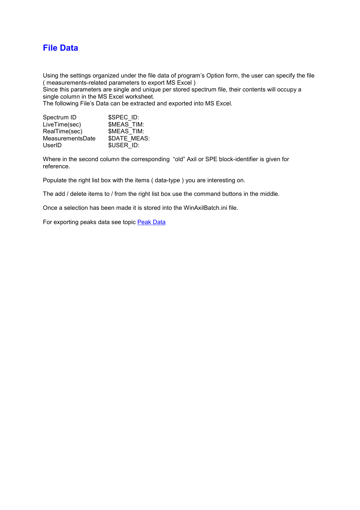## File Data

Using the settings organized under the file data of program's Option form, the user can specify the file ( measurements-related parameters to export MS Excel )

Since this parameters are single and unique per stored spectrum file, their contents will occupy a single column in the MS Excel worksheet.

The following File's Data can be extracted and exported into MS Excel.

| Spectrum ID      | \$SPEC ID:          |
|------------------|---------------------|
| LiveTime(sec)    | <b>\$MEAS TIM:</b>  |
| RealTime(sec)    | \$MEAS TIM:         |
| MeasurementsDate | <b>\$DATE MEAS:</b> |
| UserID           | \$USER ID:          |

Where in the second column the corresponding "old" Axil or SPE block-identifier is given for reference.

Populate the right list box with the items ( data-type ) you are interesting on.

The add / delete items to / from the right list box use the command buttons in the middle.

Once a selection has been made it is stored into the WinAxilBatch.ini file.

For exporting peaks data see topic Peak Data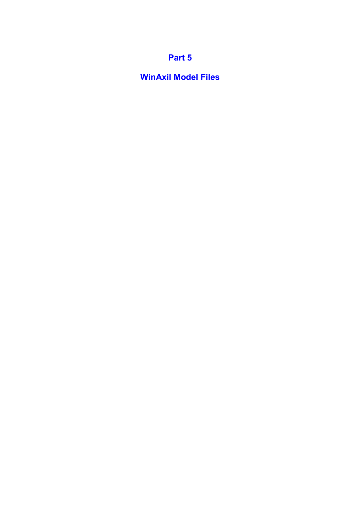## Part 5

WinAxil Model Files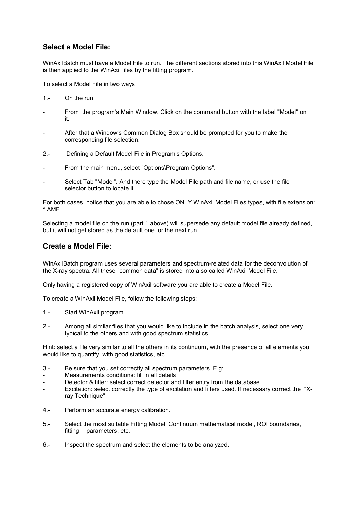### Select a Model File:

WinAxilBatch must have a Model File to run. The different sections stored into this WinAxil Model File is then applied to the WinAxil files by the fitting program.

To select a Model File in two ways:

- 1.- On the run.
- From the program's Main Window. Click on the command button with the label "Model" on it.
- After that a Window's Common Dialog Box should be prompted for you to make the corresponding file selection.
- 2.- Defining a Default Model File in Program's Options.
- From the main menu, select "Options\Program Options".
- Select Tab "Model". And there type the Model File path and file name, or use the file selector button to locate it.

For both cases, notice that you are able to chose ONLY WinAxil Model Files types, with file extension: \*.AMF

Selecting a model file on the run (part 1 above) will supersede any default model file already defined, but it will not get stored as the default one for the next run.

### Create a Model File:

WinAxilBatch program uses several parameters and spectrum-related data for the deconvolution of the X-ray spectra. All these "common data" is stored into a so called WinAxil Model File.

Only having a registered copy of WinAxil software you are able to create a Model File.

To create a WinAxil Model File, follow the following steps:

- 1.- Start WinAxil program.
- 2.- Among all similar files that you would like to include in the batch analysis, select one very typical to the others and with good spectrum statistics.

Hint: select a file very similar to all the others in its continuum, with the presence of all elements you would like to quantify, with good statistics, etc.

- 3.- Be sure that you set correctly all spectrum parameters. E.g:
- Measurements conditions: fill in all details
- Detector & filter: select correct detector and filter entry from the database.
- Excitation: select correctly the type of excitation and filters used. If necessary correct the "Xray Technique"
- 4.- Perform an accurate energy calibration.
- 5.- Select the most suitable Fitting Model: Continuum mathematical model, ROI boundaries, fitting parameters, etc.
- 6.- Inspect the spectrum and select the elements to be analyzed.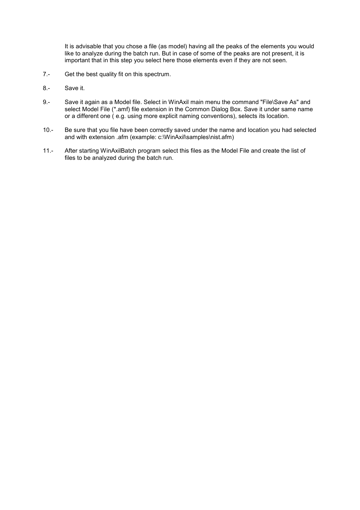It is advisable that you chose a file (as model) having all the peaks of the elements you would like to analyze during the batch run. But in case of some of the peaks are not present, it is important that in this step you select here those elements even if they are not seen.

- 7.- Get the best quality fit on this spectrum.
- 8.- Save it.
- 9.- Save it again as a Model file. Select in WinAxil main menu the command "File\Save As" and select Model File (\*.amf) file extension in the Common Dialog Box. Save it under same name or a different one ( e.g. using more explicit naming conventions), selects its location.
- 10.- Be sure that you file have been correctly saved under the name and location you had selected and with extension .afm (example: c:\WinAxil\samples\nist.afm)
- 11.- After starting WinAxilBatch program select this files as the Model File and create the list of files to be analyzed during the batch run.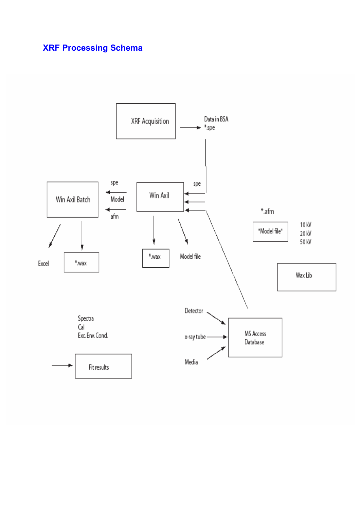# XRF Processing Schema

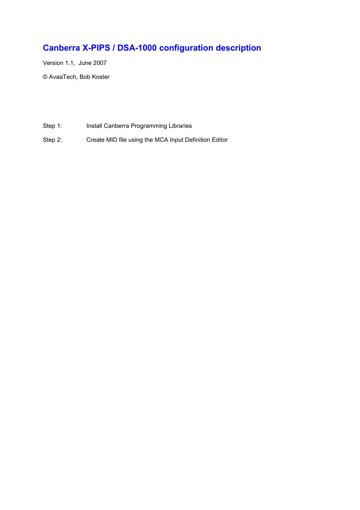# Canberra X-PIPS / DSA-1000 configuration description

Version 1.1, June 2007 © AvaaTech, Bob Koster

- Step 1: Install Canberra Programming Libraries
- Step 2: Create MID file using the MCA Input Definition Editor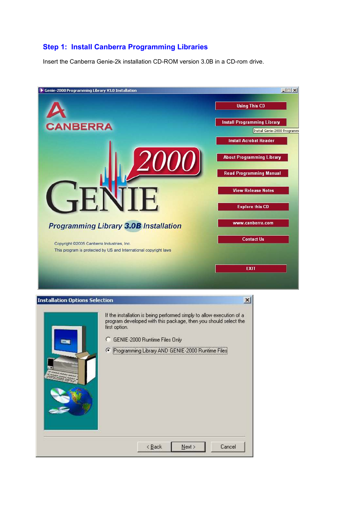### Step 1: Install Canberra Programming Libraries

Insert the Canberra Genie-2k installation CD-ROM version 3.0B in a CD-rom drive.

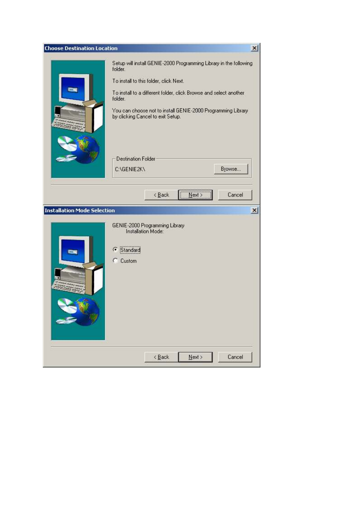| <b>Choose Destination Location</b> |                                                                                                                                                                                                                                                                                                                                                                    | $\vert x \vert$ |
|------------------------------------|--------------------------------------------------------------------------------------------------------------------------------------------------------------------------------------------------------------------------------------------------------------------------------------------------------------------------------------------------------------------|-----------------|
|                                    | Setup will install GENIE-2000 Programming Library in the following<br>folder.<br>To install to this folder, click Next.<br>To install to a different folder, click Browse and select another<br>folder.<br>You can choose not to install GENIE-2000 Programming Library<br>by clicking Cancel to exit Setup.<br><b>Destination Folder</b><br>Browse<br>C:\GENIE2K\ |                 |
| <b>Installation Mode Selection</b> | $\frac{N}{2}$ ext ><br>Cancel<br>$\leq$ Back<br>GENIE-2000 Programming Library<br>Installation Mode:<br>Standard<br>Œ<br>Custom<br>O                                                                                                                                                                                                                               | $\vert x \vert$ |
|                                    | $\leq$ Back<br>$N$ ext ><br>Cancel                                                                                                                                                                                                                                                                                                                                 |                 |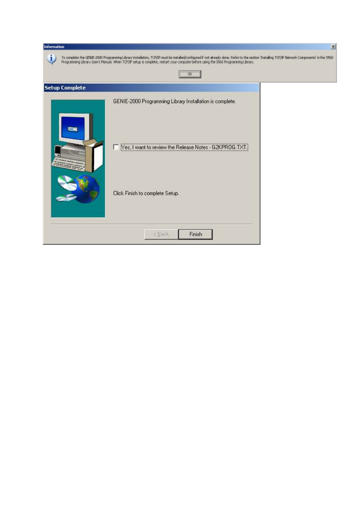| Information           |                                                                                                                                                                                                                                                                                                                                     | $\mathbb{X}$ |
|-----------------------|-------------------------------------------------------------------------------------------------------------------------------------------------------------------------------------------------------------------------------------------------------------------------------------------------------------------------------------|--------------|
| Ĵ.                    | To complete the GENIE-2000 Programming Library installation, TCP/IP must be installed/configured if not already done. Refer to the section Installing TCP/IP Network Components' in the 5560<br>Programming Library Liser's Manual. When TOP/IP setup is complete, restart your computer before using the 9960 Programming Library. |              |
|                       |                                                                                                                                                                                                                                                                                                                                     |              |
| <b>Setup Complete</b> |                                                                                                                                                                                                                                                                                                                                     |              |
|                       | GENIE-2000 Programming Library Installation is complete.                                                                                                                                                                                                                                                                            |              |
|                       | Mes, I want to review the Release Notes - G2KPROG                                                                                                                                                                                                                                                                                   |              |
|                       | Click Finish to complete Setup.                                                                                                                                                                                                                                                                                                     |              |
|                       | Finish<br>< Back                                                                                                                                                                                                                                                                                                                    |              |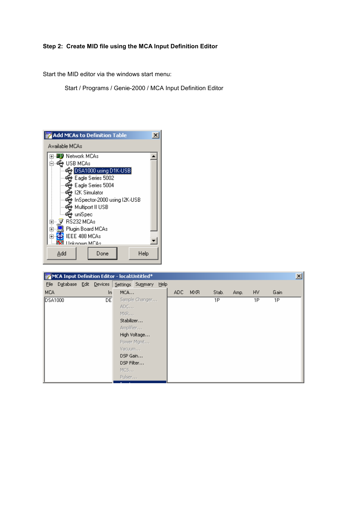#### Step 2: Create MID file using the MCA Input Definition Editor

Start the MID editor via the windows start menu:

Start / Programs / Genie-2000 / MCA Input Definition Editor



| MCA Input Definition Editor - local:Untitled* |                                        |  |     |            |                |      |      |     |       |      | $\mathbf{x}$ |      |  |
|-----------------------------------------------|----------------------------------------|--|-----|------------|----------------|------|------|-----|-------|------|--------------|------|--|
| File                                          | Database Edit Devices Settings Summary |  |     |            |                | Help |      |     |       |      |              |      |  |
| <b>MCA</b>                                    |                                        |  | In. | MCA        |                |      | ADC. | MXR | Stab. | Amp. | HV.          | Gain |  |
| DSA1000                                       |                                        |  | DE  |            | Sample Changer |      |      |     | 1P    |      | 1P           | 1P   |  |
|                                               |                                        |  |     | ADC        |                |      |      |     |       |      |              |      |  |
|                                               |                                        |  |     | MXR        |                |      |      |     |       |      |              |      |  |
|                                               |                                        |  |     | Stabilizer |                |      |      |     |       |      |              |      |  |
|                                               |                                        |  |     | Amplifier  |                |      |      |     |       |      |              |      |  |
|                                               |                                        |  |     |            | High Voltage   |      |      |     |       |      |              |      |  |
|                                               |                                        |  |     |            | Power Mgmt     |      |      |     |       |      |              |      |  |
|                                               |                                        |  |     | Vacuum     |                |      |      |     |       |      |              |      |  |
|                                               |                                        |  |     | DSP Gain   |                |      |      |     |       |      |              |      |  |
|                                               |                                        |  |     | DSP Filter |                |      |      |     |       |      |              |      |  |
|                                               |                                        |  |     | MCS        |                |      |      |     |       |      |              |      |  |
|                                               |                                        |  |     | Pulser     |                |      |      |     |       |      |              |      |  |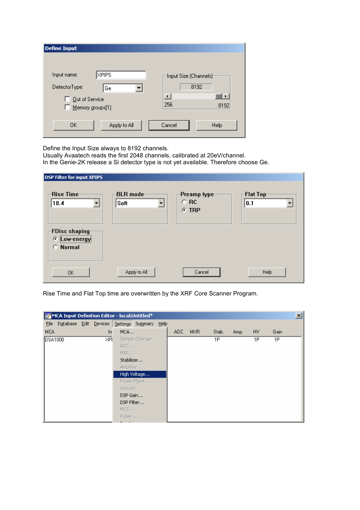| <b>Define Input</b>                |                                       |
|------------------------------------|---------------------------------------|
|                                    |                                       |
| <b>XPIPS</b><br>Input name:        | Input Size (Channels)                 |
| DetectorType:<br>Ge                | 8192                                  |
| Out of Service<br>Memory groups[1] | $\left  \cdot \right $<br>256<br>8192 |
| 0K<br>Apply to All                 | Cancel<br>Help                        |

Define the Input Size always to 8192 channels.

Usually Avaatech reads the first 2048 channels, calibrated at 20eV/channel.

In the Genie-2K release a Si detector type is not yet available. Therefore choose Ge.

| <b>DSP Filter for input XPIPS</b>                    |                              |                                         |                         |
|------------------------------------------------------|------------------------------|-----------------------------------------|-------------------------|
| Rise Time<br>18.4<br>▼                               | <b>BLR</b> mode<br>Soft<br>▼ | Preamp type:<br>$\subset$ RC<br>$C$ TRP | <b>Flat Top</b><br> 0.1 |
| <b>FDisc shaping</b><br>œ.<br>Low-energy<br>C Normal |                              |                                         |                         |
| 0K                                                   | Apply to All                 | Cancel                                  | Help                    |

Rise Time and Flat Top time are overwritten by the XRF Core Scanner Program.

|                | $\mathbf{x}$<br>MCA Input Definition Editor - local:Untitled* |  |     |            |                |  |      |            |       |      |     |      |  |
|----------------|---------------------------------------------------------------|--|-----|------------|----------------|--|------|------------|-------|------|-----|------|--|
|                | File Database Edit Devices Settings Summary Help              |  |     |            |                |  |      |            |       |      |     |      |  |
| <b>MCA</b>     |                                                               |  | In. | MCA        |                |  | ADC. | <b>MXR</b> | Stab. | Amp. | HV. | Gain |  |
| <b>DSA1000</b> |                                                               |  | XPI |            | Sample Changer |  |      |            | 1P    |      | 1P  | 1P   |  |
|                |                                                               |  |     | ADC        |                |  |      |            |       |      |     |      |  |
|                |                                                               |  |     | MXR        |                |  |      |            |       |      |     |      |  |
|                |                                                               |  |     | Stabilizer |                |  |      |            |       |      |     |      |  |
|                |                                                               |  |     | Amplifier  |                |  |      |            |       |      |     |      |  |
|                |                                                               |  |     |            | High Voltage   |  |      |            |       |      |     |      |  |
|                |                                                               |  |     |            | Power Mgmt     |  |      |            |       |      |     |      |  |
|                |                                                               |  |     | Vacuum     |                |  |      |            |       |      |     |      |  |
|                |                                                               |  |     | DSP Gain   |                |  |      |            |       |      |     |      |  |
|                |                                                               |  |     | DSP Filter |                |  |      |            |       |      |     |      |  |
|                |                                                               |  |     | MCS        |                |  |      |            |       |      |     |      |  |
|                |                                                               |  |     | Pulser     |                |  |      |            |       |      |     |      |  |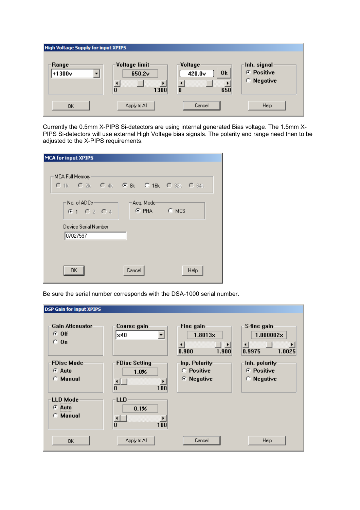| <b>High Voltage Supply for input XPIPS</b> |                                                         |                                                                      |                                            |
|--------------------------------------------|---------------------------------------------------------|----------------------------------------------------------------------|--------------------------------------------|
| Range<br>$+1300v$                          | Voltage limit<br>650.2 <sub>v</sub><br>$\bf{0}$<br>1300 | -Voltage <sup>.</sup><br>0k<br>420.0 <sub>v</sub><br>$\bf{0}$<br>650 | Inh. signal<br>C Positive<br>Negative<br>O |
| OΚ                                         | Apply to All                                            | Cancel                                                               | <b>Help</b>                                |

Currently the 0.5mm X-PIPS Si-detectors are using internal generated Bias voltage. The 1.5mm X-PIPS Si-detectors will use external High Voltage bias signals. The polarity and range need then to be adjusted to the X-PIPS requirements.

| MCA for input XPIPS |                                       |        |            |             |      |
|---------------------|---------------------------------------|--------|------------|-------------|------|
| MCA Full Memory:    | O 1k O 2k O 4k O 8k O 16k O 32k O 64k |        |            |             |      |
|                     | $-$ No. of ADCs $-$<br>610204         |        | Acq. Mode- | C PHA C MCS |      |
|                     | Device Serial Number<br>07027597      |        |            |             |      |
|                     | OΚ                                    | Cancel |            |             | Help |

Be sure the serial number corresponds with the DSA-1000 serial number.

| <b>DSP Gain for input XPIPS</b>                  |                                                        |                                                                            |                                                                             |
|--------------------------------------------------|--------------------------------------------------------|----------------------------------------------------------------------------|-----------------------------------------------------------------------------|
| Gain Attenuator<br>G.<br>0ff<br>О.<br>0n         | Coarse gain<br> x40                                    | Fine gain<br>$1.8013\times$<br>$\blacktriangleleft$<br>▸<br>0.900<br>1.900 | S-fine gain<br>$1.000002\times$<br>$\blacktriangleleft$<br>0.9975<br>1.0025 |
| <b>FDisc Mode</b><br>$C$ Auto<br><b>C</b> Manual | <b>FDisc Setting</b><br>1.0%<br>⊣∥<br>100<br>0         | Inp. Polarity<br>Positive<br>О.<br>Negative<br>o                           | Inh. polarity<br>Positive<br>G<br>Negative<br>о                             |
| LLD Mode<br>G.<br>Auto<br>Manual<br>o            | <b>LLD</b><br>0.1%<br>$\blacktriangleleft$<br>100<br>0 |                                                                            |                                                                             |
| 0K                                               | Apply to All                                           | Cancel                                                                     | Help                                                                        |